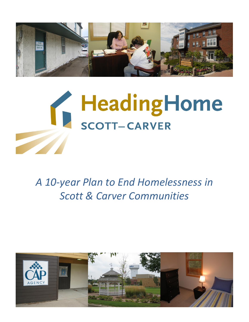



# *A 10-year Plan to End Homelessness in Scott & Carver Communities*

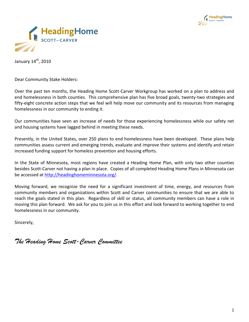



January 14<sup>th</sup>, 2010

Dear Community Stake Holders:

Over the past ten months, the Heading Home Scott-Carver Workgroup has worked on a plan to address and end homelessness in both counties. This comprehensive plan has five broad goals, twenty-two strategies and fifty-eight concrete action steps that we feel will help move our community and its resources from managing homelessness in our community to ending it.

Our communities have seen an increase of needs for those experiencing homelessness while our safety net and housing systems have lagged behind in meeting these needs.

Presently, in the United States, over 250 plans to end homelessness have been developed. These plans help communities assess current and emerging trends, evaluate and improve their systems and identify and retain increased funding support for homeless prevention and housing efforts.

In the State of Minnesota, most regions have created a Heading Home Plan, with only two other counties besides Scott-Carver not having a plan in place. Copies of all completed Heading Home Plans in Minnesota can be accessed a[t http://headinghomeminnesota.org/.](http://headinghomeminnesota.org/)

Moving forward, we recognize the need for a significant investment of time, energy, and resources from community members and organizations within Scott and Carver communities to ensure that we are able to reach the goals stated in this plan. Regardless of skill or status, all community members can have a role in moving this plan forward. We ask for you to join us in this effort and look forward to working together to end homelessness in our community.

Sincerely,

*The Heading Home Scott-Carver Committee*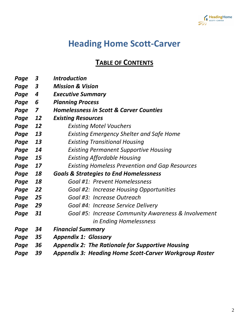

# **Heading Home Scott-Carver**

**TABLE OF CONTENTS**

| Page | 3         | <b>Introduction</b>                                           |
|------|-----------|---------------------------------------------------------------|
| Page | 3         | <b>Mission &amp; Vision</b>                                   |
| Page | 4         | <b>Executive Summary</b>                                      |
| Page | 6         | <b>Planning Process</b>                                       |
| Page | 7         | <b>Homelessness in Scott &amp; Carver Counties</b>            |
| Page | <u>12</u> | <b>Existing Resources</b>                                     |
| Page | 12        | <b>Existing Motel Vouchers</b>                                |
| Page | 13        | <b>Existing Emergency Shelter and Safe Home</b>               |
| Page | 13        | <b>Existing Transitional Housing</b>                          |
| Page | 14        | <b>Existing Permanent Supportive Housing</b>                  |
| Page | 15        | <b>Existing Affordable Housing</b>                            |
| Page | 17        | <b>Existing Homeless Prevention and Gap Resources</b>         |
| Page | 18        | <b>Goals &amp; Strategies to End Homelessness</b>             |
| Page | 18        | Goal #1: Prevent Homelessness                                 |
| Page | 22        | <b>Goal #2: Increase Housing Opportunities</b>                |
| Page | 25        | Goal #3: Increase Outreach                                    |
| Page | 29        | Goal #4: Increase Service Delivery                            |
| Page | 31        | Goal #5: Increase Community Awareness & Involvement           |
|      |           | in Ending Homelessness                                        |
| Page | 34        | <b>Financial Summary</b>                                      |
| Page | 35        | <b>Appendix 1: Glossary</b>                                   |
| Page | 36        | <b>Appendix 2: The Rationale for Supportive Housing</b>       |
| Page | 39        | <b>Appendix 3: Heading Home Scott-Carver Workgroup Roster</b> |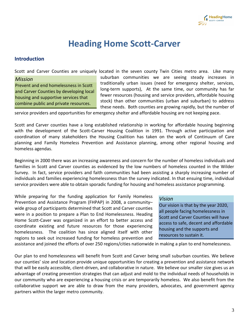

# **Heading Home Scott-Carver**

### **Introduction**

Scott and Carver Counties are uniquely located in the seven county Twin Cities metro area. Like many

#### *Mission*

Prevent and end homelessness in Scott and Carver Counties by developing local housing and supportive services that combine public and private resources.

suburban communities we are seeing steady increases in traditionally urban issues (need for emergency shelter, services, long-term supports), At the same time, our community has far fewer resources (housing and service providers, affordable housing stock) than other communities (urban and suburban) to address these needs. Both counties are growing rapidly, but the number of

service providers and opportunities for emergency shelter and affordable housing are not keeping pace.

Scott and Carver counties have a long established relationship in working for affordable housing beginning with the development of the Scott-Carver Housing Coalition in 1991. Through active participation and coordination of many stakeholders the Housing Coalition has taken on the work of Continuum of Care planning and Family Homeless Prevention and Assistance planning, among other regional housing and homeless agendas.

Beginning in 2000 there was an increasing awareness and concern for the number of homeless individuals and families in Scott and Carver counties as evidenced by the low numbers of homeless counted in the Wilder Survey. In fact, service providers and faith communities had been assisting a sharply increasing number of individuals and families experiencing homelessness than the survey indicated. In that ensuing time, individual service providers were able to obtain sporadic funding for housing and homeless assistance programming.

While preparing for the funding application for Family Homeless Prevention and Assistance Program (FHPAP) in 2008, a community– wide group of participants determined that Scott and Carver counties were in a position to prepare a Plan to End Homelessness. Heading Home Scott-Caver was organized in an effort to better access and coordinate existing and future resources for those experiencing homelessness. The coalition has since aligned itself with other regions to seek out increased funding for homeless prevention and

### *Vision*

Our vision is that by the year 2020, all people facing homelessness in Scott and Carver Counties will have access to safe, decent and affordable housing and the supports and resources to sustain it.

assistance and joined the efforts of over 250 regions/cities nationwide in making a plan to end homelessness.

Our plan to end homelessness will benefit from Scott and Carver being small suburban counties. We believe our counties' size and location provide unique opportunities for creating a prevention and assistance network that will be easily accessible, client-driven, and collaborative in nature. We believe our smaller size gives us an advantage of creating prevention strategies that can adjust and mold to the individual needs of households in our community who are experiencing a housing crisis or are temporarily homeless. We also benefit from the collaborative support we are able to draw from the many providers, advocates, and government agency partners within the larger metro community.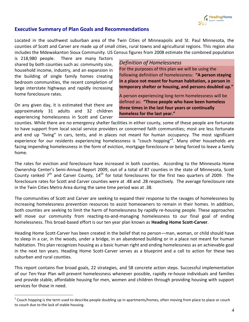

### **Executive Summary of Plan Goals and Recommendations**

Located in the southwest suburban area of the Twin Cities of Minneapolis and St. Paul Minnesota, the counties of Scott and Carver are made up of small cities, rural towns and agricultural regions. This region also includes the Mdewakanton Sioux Community. US Census figures from 2008 estimate the combined population

is 218,980 people. There are many factors shared by both counties such as: community size, household income, industry, and an expansion in the building of single family homes creating bedroom communities, the recent completion of large interstate highways and rapidly increasing home foreclosure rates.

On any given day, it is estimated that there are approximately 31 adults and 32 children experiencing homelessness in Scott and Carver

 $\overline{a}$ 

### *Definition of Homelessness*

For the purposes of this plan we will be using the following definition of homelessness: **"A person staying in a place not meant for human habitation, a person in temporary shelter or housing, and persons doubled up."**

A person experiencing long-term homelessness will be defined as: **"Those people who have been homeless three times in the last four years or continually homeless for the last year."**

counties. While there are no emergency shelter facilities in either county, some of these people are fortunate to have support from local social service providers or concerned faith communities; most are less fortunate and end up "living" in cars, tents, and in places not meant for human occupancy. The most significant experience for our residents experiencing homelessness is "couch hopping"<sup>1</sup>. Many other households are facing impending homelessness in the form of eviction, mortgage foreclosure or being forced to leave a family home.

The rates for eviction and foreclosure have increased in both counties. According to the Minnesota Home Ownership Center's Semi-Annual Report 2009, out of a total of 87 counties in the state of Minnesota, Scott County ranked  $7<sup>th</sup>$  and Carver County,  $14<sup>th</sup>$  for total foreclosures for the first two quarters of 2009. The foreclosure rates for Scott and Carver counties were at .48 and .28 respectively. The average foreclosure rate in the Twin Cities Metro Area during the same time period was at .38.

The communities of Scott and Carver are seeking to expand their response to the ravages of homelessness by increasing homelessness prevention resources to assist homeowners to remain in their homes. In addition, both counties are seeking to limit the harm of homelessness by rapidly re-housing people. These approaches will move our community from reacting-to-and-managing homelessness to our final goal of ending homelessness. This broad-based effort is our ten year plan known as **Heading Home Scott-Carver**.

Heading Home Scott-Carver has been created in the belief that no person—man, woman, or child should have to sleep in a car, in the woods, under a bridge, in an abandoned building or in a place not meant for human habitation. This plan recognizes housing as a basic human right and ending homelessness as an achievable goal in the next ten years. Heading Home Scott-Carver serves as a blueprint and a call to action for these two suburban and rural counties.

This report contains five broad goals, 22 strategies, and 58 concrete action steps. Successful implementation of our Ten-Year Plan will prevent homelessness whenever possible, rapidly re-house individuals and families and provide stable, affordable housing for men, women and children through providing housing with support services for those in need.

 $^1$  Couch hopping is the term used to describe people doubling up in apartments/homes, often moving from place to place or couch to couch due to the lack of stable housing.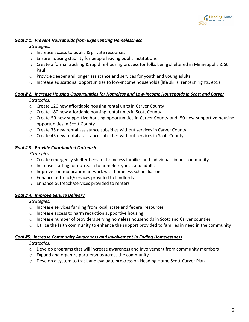

### *Goal # 1: Prevent Households from Experiencing Homelessness*

*Strategies:*

- o Increase access to public & private resources
- o Ensure housing stability for people leaving public institutions
- o Create a formal tracking & rapid re-housing process for folks being sheltered in Minneapolis & St Paul
- $\circ$  Provide deeper and longer assistance and services for youth and young adults
- $\circ$  Increase educational opportunities to low-income households (life skills, renters' rights, etc.)

# *Goal # 2: Increase Housing Opportunities for Homeless and Low-Income Households in Scott and Carver*

*Strategies:*

- o Create 120 new affordable housing rental units in Carver County
- o Create 180 new affordable housing rental units in Scott County
- $\circ$  Create 50 new supportive housing opportunities in Carver County and 50 new supportive housing opportunities in Scott County
- $\circ$  Create 35 new rental assistance subsidies without services in Carver County
- $\circ$  Create 45 new rental assistance subsidies without services in Scott County

### *Goal # 3: Provide Coordinated Outreach*

*Strategies:*

- $\circ$  Create emergency shelter beds for homeless families and individuals in our community
- o Increase staffing for outreach to homeless youth and adults
- o Improve communication network with homeless school liaisons
- o Enhance outreach/services provided to landlords
- o Enhance outreach/services provided to renters

### *Goal # 4: Improve Service Delivery*

*Strategies:*

- o Increase services funding from local, state and federal resources
- o Increase access to harm reduction supportive housing
- o Increase number of providers serving homeless households in Scott and Carver counties
- $\circ$  Utilize the faith community to enhance the support provided to families in need in the community

### *Goal #5: Increase Community Awareness and Involvement in Ending Homelessness*

*Strategies:*

- o Develop programs that will increase awareness and involvement from community members
- o Expand and organize partnerships across the community
- o Develop a system to track and evaluate progress on Heading Home Scott-Carver Plan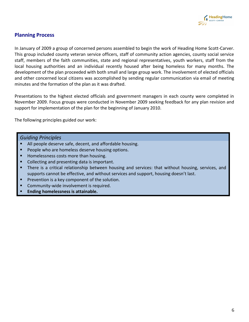

# **Planning Process**

In January of 2009 a group of concerned persons assembled to begin the work of Heading Home Scott-Carver. This group included county veteran service officers, staff of community action agencies, county social service staff, members of the faith communities, state and regional representatives, youth workers, staff from the local housing authorities and an individual recently housed after being homeless for many months. The development of the plan proceeded with both small and large group work. The involvement of elected officials and other concerned local citizens was accomplished by sending regular communication via email of meeting minutes and the formation of the plan as it was drafted.

Presentations to the highest elected officials and government managers in each county were completed in November 2009. Focus groups were conducted in November 2009 seeking feedback for any plan revision and support for implementation of the plan for the beginning of January 2010.

The following principles guided our work:

### *Guiding Principles*

- All people deserve safe, decent, and affordable housing.
- People who are homeless deserve housing options.
- Homelessness costs more than housing.
- Collecting and presenting data is important.
- There is a critical relationship between housing and services: that without housing, services, and supports cannot be effective, and without services and support, housing doesn't last.
- Prevention is a key component of the solution.
- Community-wide involvement is required.
- **Ending homelessness is attainable.**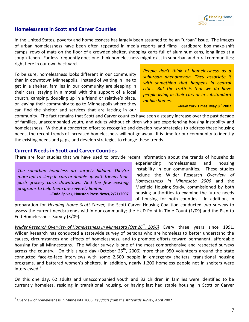

### **Homelessness in Scott and Carver Counties**

In the United States, poverty and homelessness has largely been assumed to be an "urban" issue. The images of urban homelessness have been often repeated in media reports and films—cardboard box make-shift camps, rows of mats on the floor of a crowded shelter, shopping carts full of aluminum cans, long lines at a soup kitchen. Far less frequently does one think homelessness might exist in suburban and rural communities; right here in our own back yard.

To be sure, homelessness looks different in our community than in downtown Minneapolis. Instead of waiting in line to get in a shelter, families in our community are sleeping in their cars, staying in a motel with the support of a local church, camping, doubling up in a friend or relative's place, or leaving their community to go to Minneapolis where they can find the shelter and services that are lacking in our *People don't think of homelessness as a suburban phenomenon. They associate it with something that happens in central cities. But the truth is that we do have people living in their cars or in substandard mobile homes.*

**--New York Times May 8th 2002**

community. The fact remains that Scott and Carver counties have seen a steady increase over the past decade of families, unaccompanied youth, and adults without children who are experiencing housing instability and homelessness. Without a concerted effort to recognize and develop new strategies to address these housing needs, the recent trends of increased homelessness will not go away. It is time for our community to identify the existing needs and gaps, and develop strategies to change these trends.

### **Current Needs in Scott and Carver Counties**

There are four studies that we have used to provide recent information about the trends of households

*The suburban homeless are largely hidden. They're more apt to sleep in cars or double up with friends than push grocery carts downtown. And the few existing programs to help them are severely limited.* **--Todd Spivak, Houston Press News, 2/21/2007** experiencing homelessness and housing instability in our communities. These studies include the Wilder Research *Overview of Homelessness in Minnesota 2006* and the Maxfield Housing Study, commissioned by both housing authorities to examine the future needs of housing for both counties. In addition, in

preparation for *Heading Home Scott-Carver,* the Scott-Carver Housing Coalition conducted two surveys to assess the current needs/trends within our community; the HUD Point in Time Count (1/09) and the Plan to End Homelessness Survey (3/09).

*Wilder Research Overview of Homelessness in Minnesota (Oct 26th, 2006)* Every three years since 1991, Wilder Research has conducted a statewide survey of persons who are homeless to better understand the causes, circumstances and effects of homelessness, and to promote efforts toward permanent, affordable housing for all Minnesotans. The Wilder survey is one of the most comprehensive and respected surveys across the country. On this single day (October  $26<sup>th</sup>$ , 2006) more than 950 volunteers around the state conducted face-to-face interviews with some 2,500 people in emergency shelters, transitional housing programs, and battered women's shelters. In addition, nearly 1,200 homeless people not in shelters were interviewed.<sup>2</sup>

On this one day, 62 adults and unaccompanied youth and 32 children in families were identified to be currently homeless, residing in transitional housing, or having last had stable housing in Scott or Carver

<sup>2</sup> Overview of homelessness in Minnesota 2006: *Key facts from the statewide survey,* April 2007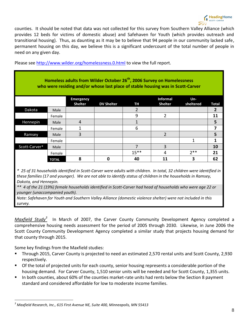counties. It should be noted that data was not collected for this survey from Southern Valley Alliance (which provides 12 beds for victims of domestic abuse) and Safehaven for Youth (which provides outreach and transitional housing). Thus, as daunting as it may be to believe that 94 people in our community lacked safe, permanent housing on this day, we believe this is a significant undercount of the total number of people in need on any given day.

Please see<http://www.wilder.org/homelessness.0.html> to view the full report.

| Homeless adults from Wilder October 26 <sup>th</sup> , 2006 Survey on Homelessness<br>who were residing and/or whose last place of stable housing was in Scott-Carver |              |                                    |                   |           |                                   |                     |       |
|-----------------------------------------------------------------------------------------------------------------------------------------------------------------------|--------------|------------------------------------|-------------------|-----------|-----------------------------------|---------------------|-------|
|                                                                                                                                                                       |              | <b>Emergency</b><br><b>Shelter</b> | <b>DV Shelter</b> | <b>TH</b> | <b>Informal</b><br><b>Shelter</b> | $Un -$<br>sheltered | Total |
| Dakota                                                                                                                                                                | Male         |                                    |                   | 2         |                                   |                     | 2     |
|                                                                                                                                                                       | Female       |                                    |                   | 9         | $\overline{2}$                    |                     | 11    |
| Hennepin                                                                                                                                                              | Male         | 4                                  |                   |           |                                   |                     | 5     |
|                                                                                                                                                                       | Female       |                                    |                   | 6         |                                   |                     | 7     |
| Ramsey                                                                                                                                                                | Male         | 3                                  |                   |           | $\overline{2}$                    |                     | 5     |
|                                                                                                                                                                       | Female       |                                    |                   |           |                                   |                     |       |
| Scott-Carver*                                                                                                                                                         | Male         |                                    |                   | 7         | 3                                 |                     | 10    |
|                                                                                                                                                                       | Female       |                                    |                   | $15***$   |                                   | $7**$               | 21    |
|                                                                                                                                                                       | <b>TOTAL</b> | 8                                  | ŋ                 | 40        | 11                                | 3                   | 62    |

*\* 25 of 31 households identified in Scott-Carver were adults with children. In total, 32 children were identified in these families (17 and younger). We are not able to identify status of children in the households in Ramsey, Dakota, and Hennepin.*

*\*\* 4 of the 21 (19%) female households identified in Scott-Carver had head of households who were age 22 or younger (unaccompanied youth).*

*Note: Safehaven for Youth and Southern Valley Alliance (domestic violence shelter) were not included in this survey.*

*Maxfield Study<sup>3</sup>* In March of 2007, the Carver County Community Development Agency completed a comprehensive housing needs assessment for the period of 2005 through 2030. Likewise, in June 2006 the Scott County Community Development Agency completed a similar study that projects housing demand for that county through 2015.

Some key findings from the Maxfield studies:

- **Through 2015, Carver County is projected to need an estimated 2,570 rental units and Scott County, 2,930** respectively.
- Of the total of projected units for each county, senior housing represents a considerable portion of the housing demand. For Carver County, 1,510 senior units will be needed and for Scott County, 1,355 units.
- In both counties, about 60% of the counties market-rate units had rents below the Section 8 payment standard and considered affordable for low to moderate income families.

*<sup>3</sup> Maxfield Research, Inc., 615 First Avenue NE, Suite 400, Minneapolis, MN 55413*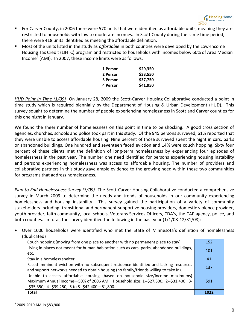- For Carver County, in 2006 there were 570 units that were identified as affordable units, meaning they are restricted to households with low to moderate incomes. In Scott County during the same time period, there were 418 units identified as meeting the affordable definition.
- Most of the units listed in the study as *affordable* in both counties were developed by the Low-Income Housing Tax Credit (LIHTC) program and restricted to households with incomes below 60% of Area Median Income<sup>4</sup> (AMI). In 2007, these income limits were as follows:

| 1 Person | \$29,350 |
|----------|----------|
| 2 Person | \$33,550 |
| 3 Person | \$37,750 |
| 4 Person | \$41,950 |

*HUD Point in Time (1/09)* On January 28, 2009 the Scott-Carver Housing Collaborative conducted a point in time study which is required biennially by the Department of Housing & Urban Development (HUD). This survey sought to determine the number of people experiencing homelessness in Scott and Carver counties for this one night in January.

We found the sheer number of homelessness on this point in time to be shocking. A good cross section of agencies, churches, schools and police took part in this study. Of the 945 persons surveyed, 61% reported that they were unable to access affordable housing. Nine percent of those surveyed spent the night in cars, parks or abandoned buildings. One hundred and seventeen faced eviction and 14% were couch hopping. Sixty four percent of these clients met the definition of long-term homelessness by experiencing four episodes of homelessness in the past year. The number one need identified for persons experiencing housing instability and persons experiencing homelessness was access to affordable housing. The number of providers and collaborative partners in this study gave ample evidence to the growing need within these two communities for programs that address homelessness.

*Plan to End Homelessness Survey (3/09)* The Scott-Carver Housing Collaborative conducted a comprehensive survey in March 2009 to determine the needs and trends of households in our community experiencing homelessness and housing instability. This survey gained the participation of a variety of community stakeholders including: transitional and permanent supportive housing providers, domestic violence provider, youth provider, faith community, local schools, Veterans Services Officers, CDA's, the CAP agency, police, and both counties. In total, the survey identified the following in the past year (1/1/08-12/31/08):

 Over 1000 households were identified who met the State of Minnesota's definition of homelessness (duplicated)

| Couch hopping (moving from one place to another with no permanent place to stay).                 | 152  |
|---------------------------------------------------------------------------------------------------|------|
| Living in places not meant for human habitation such as cars, parks, abandoned buildings,<br>etc. | 101  |
| Stay in a homeless shelter.                                                                       | 41   |
| Faced imminent eviction with no subsequent residence identified and lacking resources             | 137  |
| and support networks needed to obtain housing (no family/friends willing to take in).             |      |
| Unable to access affordable housing (based on household size/income maximums)                     |      |
| Maximum Annual Income - 50% of 2006 AMI. Household size: 1--\$27,500; 2--\$31,400; 3-             | 591  |
| $-$ \$35,350; 4- $-$ \$39,250; 5 to 8- $-$ \$42,400 - 51,800.                                     |      |
| <b>Total</b>                                                                                      | 1022 |

 $^4$  2009-2010 AMI is \$83,900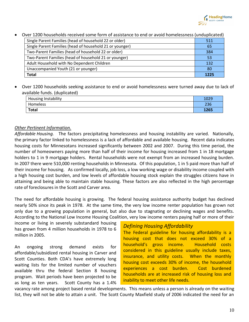

| <u>Over 1200 households received some form or assistance to end or avoid homelessiless (unduplicated)</u> |      |  |  |  |
|-----------------------------------------------------------------------------------------------------------|------|--|--|--|
| Single Parent Families (head of household 22 or older)                                                    | 511  |  |  |  |
| Single Parent Families (head of household 21 or younger)                                                  | 65   |  |  |  |
| Two-Parent Families (head of household 22 or older)                                                       | 384  |  |  |  |
| Two-Parent Families (head of household 21 or younger)                                                     | 53   |  |  |  |
| Adult Household with No Dependent Children                                                                | 132  |  |  |  |
| Unaccompanied Youth (21 or younger)                                                                       | 80   |  |  |  |
| Total                                                                                                     | 1225 |  |  |  |

Over 1200 households received some form of assistance to end or avoid homelessness (unduplicated)

 Over 1200 households seeking assistance to end or avoid homelessness were turned away due to lack of available funds. (duplicated)

| Housing Instability |      |  |
|---------------------|------|--|
| Homeless            | 236  |  |
| <b>Total</b>        | 1265 |  |

### *Other Pertinent Information.*

*Affordable Housing.* The factors precipitating homelessness and housing instability are varied. Nationally, the primary factor linked to homelessness is a lack of affordable and available housing. Recent data indicates housing costs for Minnesotans increased significantly between 2002 and 2007. During this time period, the number of homeowners paying more than half of their income for housing increased from 1 in 18 mortgage holders to 1 in 9 mortgage holders. Rental households were not exempt from an increased housing burden. In 2007 there were 510,000 renting households in Minnesota. Of this population, 1 in 5 paid more than half of their income for housing. As confirmed locally, job loss, a low working wage or disability income coupled with a high housing cost burden, and low levels of affordable housing stock explain the struggles citizens have in attaining and being able to maintain stable housing. These factors are also reflected in the high percentage rate of foreclosures in the Scott and Carver area.

The need for affordable housing is growing. The federal housing assistance authority budget has declined nearly 50% since its peak in 1978. At the same time, the very low income renter population has grown not only due to a growing population in general, but also due to stagnating or declining wages and benefits. According to the National Low Income Housing Coalition, very low income renters paying half or more of their

income or living in severely substandard housing has grown from 4 million households in 1978 to 6 million in 2005.

An ongoing strong demand exists for affordable/subsidized rental housing in Carver and Scott Counties. Both CDA's have extremely long waiting lists for the limited number of vouchers available thru the federal Section 8 housing program. Wait periods have been projected to be as long as ten years. Scott County has a 1.4%

# *Defining Housing Affordability*

The Federal guideline for housing affordability is a housing cost that does not exceed 30% of a household's gross income. Household costs considered in this guideline usually include taxes, insurance, and utility costs. When the monthly housing cost exceeds 30% of income, the household experiences a cost burden. Cost burdened households are at increased risk of housing loss and inability to meet other life needs.

vacancy rate among project based rental developments. This means unless a person is already on the waiting list, they will not be able to attain a unit. The Scott County Maxfield study of 2006 indicated the need for an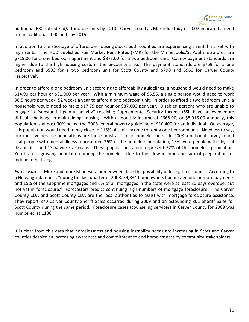

additional 680 subsidized/affordable units by 2010. Carver County's Maxfield study of 2007 indicated a need for an additional 1000 units by 2015.

In addition to the shortage of affordable housing stock, both counties are experiencing a rental market with high rents. The HUD published Fair Market Rent Rates (FMR) for the Minneapolis/St Paul metro area are \$719.00 for a one bedroom apartment and \$873.00 for a two bedroom unit. County payment standards are higher due to the high housing costs in the bi-county area. The payment standards are \$769 for a one bedroom and \$933 for a two bedroom unit for Scott County and \$790 and \$960 for Carver County respectively.

In order to afford a one bedroom unit according to affordability guidelines, a household would need to make \$14.90 per hour or \$31,000 per year. With a minimum wage of \$6.55, a single person would need to work 98.5 hours per week, 52 weeks a year to afford a one bedroom unit. In order to afford a two bedroom unit, a household would need to make \$17.79 per hour or \$37,000 per year. Disabled persons who are unable to engage in "substantial gainful activity" receiving Supplemental Security Income (SSI) have an even more difficult challenge in maintaining housing. With a monthly income of \$668.00, or \$8,016.00 annually, this population is almost 30% below the 2008 federal poverty guideline of \$10,400 for an individual. On average, this population would need to pay close to 115% of their income to rent a one bedroom unit. Needless to say, our most vulnerable populations are those most at risk for homelessness. In 2008 a national survey found that people with mental illness represented 26% of the homeless population, 13% were people with physical disabilities, and 13 % were veterans. These populations alone represent 52% of the homeless population. Youth are a growing population among the homeless due to their low income and lack of preparation for independent living.

*Foreclosure.* More and more Minnesota homeowners face the possibility of losing their homes. According to a HousingLink report, "during the last quarter of 2008, 54,834 homeowners had missed one or more payments and 15% of the subprime mortgages and 6% of all mortgages in the state were at least 30 days overdue, but not yet in foreclosure." Forecasters predict continuing high numbers of mortgage foreclosure. The Carver County CDA and Scott County CDA are the local authorities to assist with mortgage foreclosure assistance. They report 370 Carver County Sheriff Sales occurred during 2009 and an astounding 801 Sheriff Sales for Scott County during the same period. Foreclosure cases (counseling services) in Carver County for 2009 was numbered at 1186.

It is clear from this data that homelessness and housing instability needs are increasing in Scott and Carver counties despite an increasing awareness and commitment to end homelessness by community stakeholders.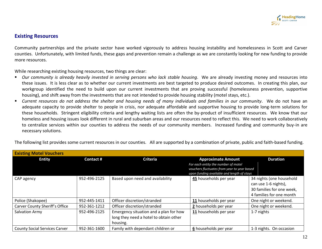

### **Existing Resources**

Community partnerships and the private sector have worked vigorously to address housing instability and homelessness in Scott and Carver counties. Unfortunately, with limited funds, these gaps and prevention remain a challenge as we are constantly looking for new funding to provide more resources.

While researching existing housing resources, two things are clear:

- *Our community is already heavily invested in serving persons who lack stable housing*. We are already investing money and resources into these issues. It is less clear as to whether our current investments are best targeted to produce desired outcomes. In creating this plan, our workgroup identified the need to build upon our current investments that are proving successful (homelessness prevention, supportive housing), and shift away from the investments that are not intended to provide housing stability (motel stays, etc.).
- *Current resources do not address the shelter and housing needs of many individuals and families in our community*. We do not have an adequate capacity to provide shelter to people in crisis, nor adequate affordable and supportive housing to provide long-term solutions for these households. Stringent eligibility criteria and lengthy waiting lists are often the by-product of insufficient resources. We know that our homeless and housing issues look different in rural and suburban areas and our resources need to reflect this. We need to work collaboratively to centralize services within our counties to address the needs of our community members. Increased funding and community buy-in are necessary solutions.

| The following list provides some current resources in our counties. All are supported by a combination of private, public and faith-based funding. |
|----------------------------------------------------------------------------------------------------------------------------------------------------|
|                                                                                                                                                    |

| <b>Existing Motel Vouchers</b>       |                 |                                                                                              |                                                                                                                                                               |                                                                                                           |
|--------------------------------------|-----------------|----------------------------------------------------------------------------------------------|---------------------------------------------------------------------------------------------------------------------------------------------------------------|-----------------------------------------------------------------------------------------------------------|
| <b>Entity</b>                        | <b>Contact#</b> | <b>Criteria</b>                                                                              | <b>Approximate Amount</b><br>For each entity the number of motel<br>vouchers fluctuates from year to year based<br>upon funding available and length of stays | <b>Duration</b>                                                                                           |
| CAP agency                           | 952-496-2125    | Based upon need and availability                                                             | 45 households per year                                                                                                                                        | 34 nights (one household<br>can use 1-6 nights),<br>30 families for one week,<br>4 families for one month |
| Police (Shakopee)                    | 952-445-1411    | Officer discretion/stranded                                                                  | 11 households per year                                                                                                                                        | One night or weekend.                                                                                     |
| Carver County Sheriff's Office       | 952-361-1212    | Officer discretion/stranded                                                                  | 2 households per year                                                                                                                                         | One night or weekend.                                                                                     |
| Salvation Army                       | 952-496-2125    | Emergency situation and a plan for how<br>long they need a hotel to obtain other<br>housing. | 11 households per year                                                                                                                                        | 1-7 nights                                                                                                |
| <b>County Social Services Carver</b> | 952-361-1600    | Family with dependant children or                                                            | 6 households per year                                                                                                                                         | 1-3 nights. On occasion                                                                                   |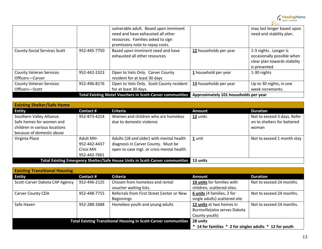

|                                                   |              | vulnerable adult. Based upon imminent<br>need and have exhausted all other<br>resources. Families asked to sign<br>promissory note to repay costs. |                                       | may last longer based upon<br>need and stability plan.                                              |
|---------------------------------------------------|--------------|----------------------------------------------------------------------------------------------------------------------------------------------------|---------------------------------------|-----------------------------------------------------------------------------------------------------|
| <b>County Social Services Scott</b>               | 952-445-7750 | Based upon imminent need and have<br>exhausted all other resources                                                                                 | 12 households per year                | 1-3 nights. Longer is<br>occasionally possible when<br>clear plan towards stability<br>is presented |
| <b>County Veteran Services</b><br>Officers-Carver | 952-442-2323 | Open to Vets Only. Carver County<br>resident for at least 30 days                                                                                  | 1 household per year                  | 1-30 nights                                                                                         |
| <b>County Veteran Services</b><br>Officers-Scott  | 952-496-8176 | Open to Vets Only. Scott County resident<br>for at least 30 days.                                                                                  | 13 households per year                | Up to 30 nights, in one<br>week increments.                                                         |
|                                                   |              | <b>Total Existing Motel Vouchers in Scott-Carver communities</b>                                                                                   | Approximately 101 households per year |                                                                                                     |

| <b>Existing Shelter/Safe Home</b>                                                                                   |                                                               |                                                                                                                               |               |                                                                     |  |
|---------------------------------------------------------------------------------------------------------------------|---------------------------------------------------------------|-------------------------------------------------------------------------------------------------------------------------------|---------------|---------------------------------------------------------------------|--|
| <b>Entity</b>                                                                                                       | Contact #                                                     | <b>Criteria</b>                                                                                                               | <b>Amount</b> | <b>Duration</b>                                                     |  |
| Southern Valley Alliance.<br>Safe homes for women and<br>children in various locations<br>because of domestic abuse | 952-873-4214                                                  | Women and children who are homeless<br>due to domestic violence                                                               | 12 units      | Not to exceed 3 days. Refer<br>on to shelters for battered<br>woman |  |
| Virginia Place                                                                                                      | <b>Adult MH-</b><br>952-442-4437<br>Crisis MH<br>952-442-7601 | Adults (18 and older) with mental health<br>diagnosis in Carver County. Must be<br>open to case mgt. or crisis mental health. | 1 unit        | Not to exceed 1 month stay                                          |  |
|                                                                                                                     |                                                               | Total Existing Emergency Shelter/Safe House Units in Scott-Carver communities 13 units                                        |               |                                                                     |  |

| <b>Existing Transitional Housing</b> |                 |                                                                        |                                                         |                          |  |  |
|--------------------------------------|-----------------|------------------------------------------------------------------------|---------------------------------------------------------|--------------------------|--|--|
| <b>Entity</b>                        | <b>Contact#</b> | <b>Criteria</b>                                                        | <b>Amount</b>                                           | <b>Duration</b>          |  |  |
| Scott-Carver Dakota CAP Agency       | 952-496-2125    | Chosen from homeless and rental                                        | 10 units for families with                              | Not to exceed 24 months. |  |  |
|                                      |                 | voucher waiting lists.                                                 | children, scattered sites.                              |                          |  |  |
| <b>Carver County CDA</b>             | 952-448-7715    | Referrals from First Street Center or New                              | 6 units (4 families, 2 for                              | Not to exceed 24 months. |  |  |
|                                      |                 | <b>Beginnings</b>                                                      | single adults) scattered site                           |                          |  |  |
| Safe Haven                           | 952-288-2688    | Homeless youth and young adults                                        | 12 units at two homes in                                | Not to exceed 24 months. |  |  |
|                                      |                 |                                                                        | Burnsville(also serves Dakota                           |                          |  |  |
|                                      |                 |                                                                        | County youth)                                           |                          |  |  |
|                                      |                 | <b>Total Existing Transitional Housing in Scott-Carver communities</b> | 28 units                                                |                          |  |  |
|                                      |                 |                                                                        | * 14 for families * 2 for singles adults * 12 for youth |                          |  |  |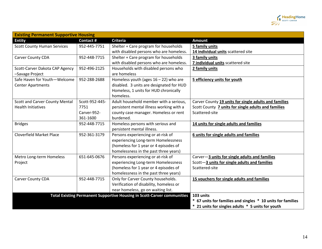

| <b>Existing Permanent Supportive Housing</b> |                 |                                                                                |                                                             |  |
|----------------------------------------------|-----------------|--------------------------------------------------------------------------------|-------------------------------------------------------------|--|
| <b>Entity</b>                                | <b>Contact#</b> | <b>Criteria</b>                                                                | Amount                                                      |  |
| <b>Scott County Human Services</b>           | 952-445-7751    | Shelter + Care program for households                                          | 5 family units                                              |  |
|                                              |                 | with disabled persons who are homeless.                                        | 14 individual units scattered site                          |  |
| Carver County CDA                            | 952-448-7715    | Shelter + Care program for households                                          | 3 family units                                              |  |
|                                              |                 | with disabled persons who are homeless.                                        | 7 individual units scattered site                           |  |
| Scott-Carver Dakota CAP Agency               | 952-496-2125    | Households with disabled persons who                                           | 2 family units                                              |  |
| -Savage Project                              |                 | are homeless                                                                   |                                                             |  |
| Safe Haven for Youth-Welcome                 | 952-288-2688    | Homeless youth (ages $16 - 22$ ) who are                                       | 5 efficiency units for youth                                |  |
| <b>Center Apartments</b>                     |                 | disabled. 3 units are designated for HUD                                       |                                                             |  |
|                                              |                 | Homeless, 1 units for HUD chronically                                          |                                                             |  |
|                                              |                 | homeless.                                                                      |                                                             |  |
| <b>Scott and Carver County Mental</b>        | Scott-952-445-  | Adult household member with a serious,                                         | Carver County 19 units for single adults and families       |  |
| <b>Health Initiatives</b>                    | 7751            | persistent mental illness working with a                                       | Scott County 7 units for single adults and families         |  |
|                                              | Carver-952-     | county case manager. Homeless or rent                                          | Scattered-site                                              |  |
|                                              | 361-1600        | burdened.                                                                      |                                                             |  |
| <b>Bridges</b>                               | 952-448-7715    | Homeless persons with serious and                                              | 14 units for single adults and families                     |  |
|                                              |                 | persistent mental illness.                                                     |                                                             |  |
| <b>Cloverfield Market Place</b>              | 952-361-3179    | Persons experiencing or at-risk of                                             | 6 units for single adults and families                      |  |
|                                              |                 | experiencing Long-term Homelessness                                            |                                                             |  |
|                                              |                 | (homeless for 1 year or 4 episodes of                                          |                                                             |  |
|                                              |                 | homelessness in the past three years)                                          |                                                             |  |
| Metro Long-term Homeless                     | 651-645-0676    | Persons experiencing or at-risk of                                             | Carver-3 units for single adults and families               |  |
| Project                                      |                 | experiencing Long-term Homelessness                                            | Scott-3 units for single adults and families                |  |
|                                              |                 | (homeless for 1 year or 4 episodes of                                          | Scattered-site                                              |  |
|                                              |                 | homelessness in the past three years)                                          |                                                             |  |
| <b>Carver County CDA</b>                     | 952-448-7715    | Only for Carver County households.                                             | 15 vouchers for single adults and families                  |  |
|                                              |                 | Verification of disability, homeless or                                        |                                                             |  |
|                                              |                 | near homeless, go on waiting list.                                             |                                                             |  |
|                                              |                 | <b>Total Existing Permanent Supportive Housing in Scott-Carver communities</b> | 103 units                                                   |  |
|                                              |                 |                                                                                | * 67 units for families and singles * 10 units for families |  |
|                                              |                 |                                                                                | * 21 units for singles adults * 5 units for youth           |  |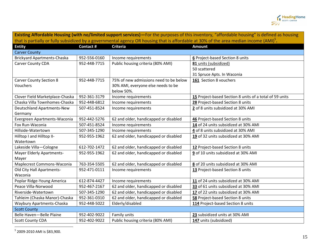

| Existing Affordable Housing (with no/limited support services)-For the purposes of this inventory, "affordable housing" is defined as housing      |                 |                                        |                                                         |  |
|----------------------------------------------------------------------------------------------------------------------------------------------------|-----------------|----------------------------------------|---------------------------------------------------------|--|
| that is partially or fully subsidized by a governmental agency OR housing that is affordable at 30% of the area median income (AMI) <sup>5</sup> . |                 |                                        |                                                         |  |
| <b>Entity</b>                                                                                                                                      | <b>Contact#</b> | <b>Criteria</b>                        | <b>Amount</b>                                           |  |
| <b>Carver County</b>                                                                                                                               |                 |                                        |                                                         |  |
| <b>Brickyard Apartments-Chaska</b>                                                                                                                 | 952-556-0160    | Income requirements                    | 6 Project-based Section 8 units                         |  |
| Carver County CDA                                                                                                                                  | 952-448-7715    | Public housing criteria (80% AMI)      | 81 units (subsidized)                                   |  |
|                                                                                                                                                    |                 |                                        | 50 scattered                                            |  |
|                                                                                                                                                    |                 |                                        | 31 Spruce Apts. In Waconia                              |  |
| <b>Carver County Section 8</b>                                                                                                                     | 952-448-7715    | 75% of new admissions need to be below | 161 Section 8 vouchers                                  |  |
| Vouchers                                                                                                                                           |                 | 30% AMI, everyone else needs to be     |                                                         |  |
|                                                                                                                                                    |                 | below 50%.                             |                                                         |  |
| Clover Field Marketplace-Chaska                                                                                                                    | 952-361-3179    | Income requirements                    | 15 Project-based Section 8 units of a total of 59 units |  |
| Chaska Villa Townhomes-Chaska                                                                                                                      | 952-448-6812    | Income requirements                    | 28 Project-based Section 8 units                        |  |
| Deutschland Apartments-New                                                                                                                         | 507-451-8524    | Income requirements                    | 2 of 8 units subsidized at 30% AMI                      |  |
| Germany                                                                                                                                            |                 |                                        |                                                         |  |
| Evergreen Apartments-Waconia                                                                                                                       | 952-442-5276    | 62 and older, handicapped or disabled  | 46 Project-based Section 8 units                        |  |
| Fox Run-Waconia                                                                                                                                    | 507-451-8524    | Income requirements                    | 14 of 24 units subsidized at 30% AMI                    |  |
| Hillside-Watertown                                                                                                                                 | 507-345-1290    | Income requirements                    | 4 of 8 units subsidized at 30% AMI                      |  |
| Hilltop I and Hilltop II-                                                                                                                          | 952-955-1962    | 62 and older, handicapped or disabled  | 19 of 32 units subsidized at 30% AMI                    |  |
| Watertown                                                                                                                                          |                 |                                        |                                                         |  |
| Lakeside Villa-Cologne                                                                                                                             | 612-702-1472    | 62 and older, handicapped or disabled  | 12 Project-based Section 8 units                        |  |
| <b>Mayer Elderly Apartments-</b>                                                                                                                   | 952-955-1962    | 62 and older, handicapped or disabled  | 9 of 10 units subsidized at 30% AMI                     |  |
| Mayer                                                                                                                                              |                 |                                        |                                                         |  |
| Maplecrest Commons-Waconia                                                                                                                         | 763-354-5505    | 62 and older, handicapped or disabled  | 8 of 20 units subsidized at 30% AMI                     |  |
| Old City Hall Apartments-                                                                                                                          | 952-471-0111    | Income requirements                    | 13 Project-based Section 8 units                        |  |
| Waconia                                                                                                                                            |                 |                                        |                                                         |  |
| Poplar Ridge-Young America                                                                                                                         | 612-874-4427    | Income requirements                    | 11 of 24 units subsidized at 30% AMI                    |  |
| Peace Villa-Norwood                                                                                                                                | 952-467-2167    | 62 and older, handicapped or disabled  | 33 of 61 units subsidized at 30% AMI                    |  |
| Riverside-Watertown                                                                                                                                | 507-345-1290    | 62 and older, handicapped or disabled  | 17 of 22 units subsidized at 30% AMI                    |  |
| Tahleim (Chaska Manor)-Chaska                                                                                                                      | 952-361-0310    | 62 and older, handicapped or disabled  | 58 Project-based Section 8 units                        |  |
| Waybury Apartments-Chaska                                                                                                                          | 952-448-5022    | Elderly/disabled                       | 114 Project-based Section 8 units                       |  |
| <b>Scott County</b>                                                                                                                                |                 |                                        |                                                         |  |
| Belle Haven-Belle Plaine                                                                                                                           | 952-402-9022    | Family units                           | 23 subsidized units at 30% AMI                          |  |
| <b>Scott County CDA</b>                                                                                                                            | 952-402-9022    | Public housing criteria (80% AMI)      | 147 units (subsidized)                                  |  |

5 2009-2010 AMI is \$83,900.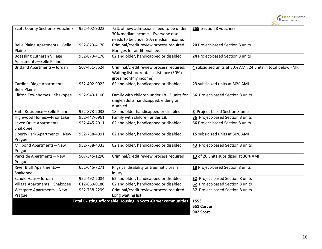

| <b>Scott County Section 8 Vouchers</b> | 952-402-9022 | 75% of new admissions need to be under                               | 255 Section 8 vouchers                                     |
|----------------------------------------|--------------|----------------------------------------------------------------------|------------------------------------------------------------|
|                                        |              | 30% median income Everyone else                                      |                                                            |
|                                        |              | needs to be under 80% median income.                                 |                                                            |
| <b>Belle Plaine Apartments-Belle</b>   | 952-873-4176 | Criminal/credit review process required.                             | 20 Project-based Section 8 units                           |
| Plaine                                 |              | Garages for additional fee.                                          |                                                            |
| <b>Boessling Lutheran Village</b>      | 952-873-4176 | 62 and older, handicapped or disabled                                | 24 Project-based Section 8 units                           |
| Apartments-Belle Plaine                |              |                                                                      |                                                            |
| <b>Britland Apartments-Jordan</b>      | 507-451-8524 | Criminal/credit review process required.                             | 4 subsidized units at 30% AMI, 24 units in total below FMR |
|                                        |              | Waiting list for rental assistance (30% of                           |                                                            |
|                                        |              | gross monthly income)                                                |                                                            |
| Cardinal Ridge Apartments-             | 952-402-9022 | 62 and older, handicapped or disabled                                | 23 subsidized units at 30% AMI                             |
| <b>Belle Plaine</b>                    |              |                                                                      |                                                            |
| Clifton Townhomes-Shakopee             | 952-943-1100 | Family with children under 18. 3 units for                           | 56 Project-based Section 8 units                           |
|                                        |              | single adults handicapped, elderly or                                |                                                            |
|                                        |              | disabled                                                             |                                                            |
| Faith Residence-Belle Plaine           | 952-873-2033 | 18 and older handicapped or disabled                                 | 8 Project-based Section 8 units                            |
| Highwood Homes-Prior Lake              | 952-447-6961 | Family with children under 18.                                       | 36 Project-based Section 8 units                           |
| Levee Drive Apartments-                | 952-445-2011 | 62 and older, handicapped or disabled                                | 66 Project-based Section 8 units                           |
| Shakopee                               |              |                                                                      |                                                            |
| Liberty Park Apartments-New            | 952-758-4991 | 62 and older, handicapped or disabled                                | 15 subsidized units at 30% AMI                             |
| Prague                                 |              |                                                                      |                                                            |
| Millpond Apartments-New                | 952-758-4333 | 62 and older, handicapped or disabled                                | 43 Project-based Section 8 units                           |
| Prague                                 |              |                                                                      |                                                            |
| Parkside Apartments-New                | 507-345-1290 | Criminal/credit review process required                              | 13 of 20 units subsidized at 30% AMI                       |
| Prague                                 |              |                                                                      |                                                            |
| River Bluff Apartments-                | 651-645-7271 | Physical disability or traumatic brain                               | 18 Project-based Section 8 units                           |
| Shakopee                               |              | injury                                                               |                                                            |
| Schule Haus-Jordan                     | 952-492-2084 | 62 and older, handicapped or disabled                                | 52 Project-based Section 8 units                           |
| Village Apartments-Shakopee            | 612-869-0180 | 62 and older, handicapped or disabled                                | 62 Project-based Section 8 units                           |
| <b>Westgate Apartments-New</b>         | 952-758-2299 | Criminal/credit review process required.                             | 37 Project-based Section 8 units                           |
| Prague                                 |              | Long waiting list.                                                   |                                                            |
|                                        |              | <b>Total Existing Affordable Housing in Scott-Carver communities</b> | 1553                                                       |
|                                        |              |                                                                      | 651 Carver                                                 |
|                                        |              |                                                                      | 902 Scott                                                  |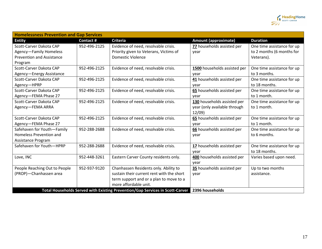

| <b>Homelessness Prevention and Gap Services</b> |                 |                                                                               |                              |                            |
|-------------------------------------------------|-----------------|-------------------------------------------------------------------------------|------------------------------|----------------------------|
| <b>Entity</b>                                   | <b>Contact#</b> | <b>Criteria</b>                                                               | <b>Amount (approximate)</b>  | <b>Duration</b>            |
| Scott-Carver Dakota CAP                         | 952-496-2125    | Evidence of need, resolvable crisis.                                          | 77 households assisted per   | One time assistance for up |
| Agency-Family Homeless                          |                 | Priority given to Veterans, Victims of                                        | year                         | to 2 months (6 months for  |
| <b>Prevention and Assistance</b>                |                 | <b>Domestic Violence</b>                                                      |                              | Veterans).                 |
| Program                                         |                 |                                                                               |                              |                            |
| Scott-Carver Dakota CAP                         | 952-496-2125    | Evidence of need, resolvable crisis.                                          | 1500 households assisted per | One time assistance for up |
| Agency-Energy Assistance                        |                 |                                                                               | year                         | to 3 months.               |
| Scott-Carver Dakota CAP                         | 952-496-2125    | Evidence of need, resolvable crisis.                                          | 41 households assisted per   | One time assistance for up |
| Agency-HPRP                                     |                 |                                                                               | year                         | to 18 months.              |
| Scott-Carver Dakota CAP                         | 952-496-2125    | Evidence of need, resolvable crisis.                                          | 65 households assisted per   | One time assistance for up |
| Agency-FEMA Phase 27                            |                 |                                                                               | year                         | to 1 month.                |
| Scott-Carver Dakota CAP                         | 952-496-2125    | Evidence of need, resolvable crisis.                                          | 130 households assisted per  | One time assistance for up |
| Agency-FEMA ARRA                                |                 |                                                                               | year (only available through | to 1 month.                |
|                                                 |                 |                                                                               | 12/09                        |                            |
| Scott-Carver Dakota CAP                         | 952-496-2125    | Evidence of need, resolvable crisis.                                          | 65 households assisted per   | One time assistance for up |
| Agency-FEMA Phase 27                            |                 |                                                                               | year                         | to 1 month.                |
| Safehaven for Youth-Family                      | 952-288-2688    | Evidence of need, resolvable crisis.                                          | 66 households assisted per   | One time assistance for up |
| Homeless Prevention and                         |                 |                                                                               | year                         | to 6 months.               |
| Assistance Program                              |                 |                                                                               |                              |                            |
| Safehaven for Youth-HPRP                        | 952-288-2688    | Evidence of need, resolvable crisis.                                          | 17 households assisted per   | One time assistance for up |
|                                                 |                 |                                                                               | year                         | to 18 months.              |
| Love, INC                                       | 952-448-3261    | Eastern Carver County residents only.                                         | 400 households assisted per  | Varies based upon need.    |
|                                                 |                 |                                                                               | year                         |                            |
| People Reaching Out to People                   | 952-937-9120    | Chanhassen Residents only. Ability to                                         | 35 households assisted per   | Up to two months           |
| (PROP)-Chanhassen area                          |                 | sustain their current rent with the short                                     | year                         | assistance.                |
|                                                 |                 | term support and or a plan to move to a                                       |                              |                            |
|                                                 |                 | more affordable unit.                                                         |                              |                            |
|                                                 |                 | Total Households Served with Existing Prevention/Gap Services in Scott-Carver | 2396 households              |                            |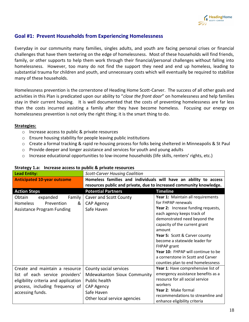

# **Goal #1: Prevent Households from Experiencing Homelessness**

Everyday in our community many families, singles adults, and youth are facing personal crises or financial challenges that have them teetering on the edge of homelessness. Most of these households will find friends, family, or other supports to help them work through their financial/personal challenges without falling into homelessness. However, too many do not find the support they need and end up homeless, leading to substantial trauma for children and youth, and unnecessary costs which will eventually be required to stabilize many of these households.

Homelessness prevention is the cornerstone of Heading Home Scott-Carver. The success of all other goals and activities in this Plan is predicated upon our ability to "*close the front door*" on homelessness and help families stay in their current housing. It is well documented that the costs of preventing homelessness are far less than the costs incurred assisting a family after they have become homeless. Focusing our energy on homelessness prevention is not only the right thing; it is the smart thing to do.

#### **Strategies:**

- o Increase access to public & private resources
- o Ensure housing stability for people leaving public institutions
- o Create a formal tracking & rapid re-housing process for folks being sheltered in Minneapolis & St Paul
- o Provide deeper and longer assistance and services for youth and young adults
- $\circ$  Increase educational opportunities to low-income households (life skills, renters' rights, etc.)

| <b>Lead Entity:</b>                  | <b>Scott-Carver Housing Coalition</b>                               |                                                                  |
|--------------------------------------|---------------------------------------------------------------------|------------------------------------------------------------------|
| <b>Anticipated 10-year outcome</b>   |                                                                     | Homeless families and individuals will have an ability to access |
|                                      | resources public and private, due to increased community knowledge. |                                                                  |
| <b>Action Steps</b>                  | <b>Potential Partners</b>                                           | <b>Timeline</b>                                                  |
| Obtain<br>expanded<br>Family         | Caver and Scott County                                              | Year 1: Maintain all requirements                                |
| <b>Homeless</b><br>Prevention<br>&   | CAP Agency                                                          | for FHPAP renewals                                               |
| <b>Assistance Program Funding</b>    | Safe Haven                                                          | Year 2: Increase funding requests,                               |
|                                      |                                                                     | each agency keeps track of                                       |
|                                      |                                                                     | demonstrated need beyond the                                     |
|                                      |                                                                     | capacity of the current grant                                    |
|                                      |                                                                     | amount                                                           |
|                                      |                                                                     | Year 5: Scott & Carver county                                    |
|                                      |                                                                     | become a statewide leader for                                    |
|                                      |                                                                     | FHPAP grant                                                      |
|                                      |                                                                     | Year 10: FHPAP will continue to be                               |
|                                      |                                                                     | a cornerstone in Scott and Carver                                |
|                                      |                                                                     | counties plan to end homelessness                                |
| Create and maintain a resource       | County social services                                              | Year 1: Have comprehensive list of                               |
| list of each service providers'      | Mdewakanton Sioux Community                                         | emergency assistance benefits as a                               |
| eligibility criteria and application | Public health                                                       | resource for all social service                                  |
| process, including frequency of      | <b>CAP Agency</b>                                                   | workers                                                          |
| accessing funds.                     | Safe Haven                                                          | Year 2: Make formal                                              |
|                                      | Other local service agencies                                        | recommendations to streamline and                                |
|                                      |                                                                     | enhance eligibility criteria                                     |

### **Strategy 1.a: Increase access to public & private resources**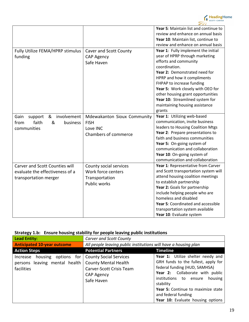

|                                       |                               | Year 5: Maintain list and continue to |
|---------------------------------------|-------------------------------|---------------------------------------|
|                                       |                               | review and enhance on annual basis    |
|                                       |                               | Year 10: Maintain list, continue to   |
|                                       |                               | review and enhance on annual basis    |
| Fully Utilize FEMA/HPRP stimulus      | <b>Caver and Scott County</b> | Year 1: Fully implement the initial   |
| funding                               | <b>CAP Agency</b>             | year of HPRP through marketing        |
|                                       | Safe Haven                    | efforts and community                 |
|                                       |                               | coordination.                         |
|                                       |                               | Year 2: Demonstrated need for         |
|                                       |                               | HPRP and how it compliments           |
|                                       |                               | FHPAP to increase funding             |
|                                       |                               | Year 5: Work closely with OEO for     |
|                                       |                               | other housing grant opportunities     |
|                                       |                               | Year 10: Streamlined system for       |
|                                       |                               | maintaining housing assistance        |
|                                       |                               | grants                                |
| involvement<br>support<br>&<br>Gain   | Mdewakanton Sioux Community   | Year 1: Utilizing web-based           |
| &<br>faith<br>from<br>business        | <b>FISH</b>                   | communication, invite business        |
| communities                           | Love INC                      | leaders to Housing Coalition Mtgs     |
|                                       | Chambers of commerce          | Year 2: Prepare presentations to      |
|                                       |                               | faith and business communities        |
|                                       |                               | Year 5: On-going system of            |
|                                       |                               | communication and collaboration       |
|                                       |                               | Year 10: On-going system of           |
|                                       |                               | communication and collaboration       |
| <b>Carver and Scott Counties will</b> | County social services        | Year 1: Representative from Carver    |
| evaluate the effectiveness of a       | Work force centers            | and Scott transportation system will  |
| transportation merger                 | Transportation                | attend housing coalition meetings     |
|                                       | <b>Public works</b>           | to establish partnership              |
|                                       |                               | Year 2: Goals for partnership         |
|                                       |                               | include helping people who are        |
|                                       |                               | homeless and disabled                 |
|                                       |                               | Year 5: Coordinated and accessible    |
|                                       |                               | transportation system available       |
|                                       |                               | Year 10: Evaluate system              |

# **Strategy 1.b: Ensure housing stability for people leaving public institutions**

| <b>Lead Entity:</b>                                                            | Carver and Scott County                                                                                                     |                                                                                                                                                                                                                                                                                                     |
|--------------------------------------------------------------------------------|-----------------------------------------------------------------------------------------------------------------------------|-----------------------------------------------------------------------------------------------------------------------------------------------------------------------------------------------------------------------------------------------------------------------------------------------------|
| <b>Anticipated 10-year outcome</b>                                             | All people leaving public institutions will have a housing plan                                                             |                                                                                                                                                                                                                                                                                                     |
| <b>Action Steps</b>                                                            | <b>Potential Partners</b>                                                                                                   | <b>Timeline</b>                                                                                                                                                                                                                                                                                     |
| housing options for<br>Increase<br>persons leaving mental health<br>facilities | <b>County Social Services</b><br><b>County Mental Health</b><br>Carver-Scott Crisis Team<br><b>CAP Agency</b><br>Safe Haven | Year 1: Utilize shelter needy and<br>GRH funds to the fullest, apply for<br>federal funding (HUD, SAMHSA)<br>Year 2: Collaborate with public<br>institutions to<br>housing<br>ensure<br>stability<br>Year 5: Continue to maximize state<br>and federal funding<br>Year 10: Evaluate housing options |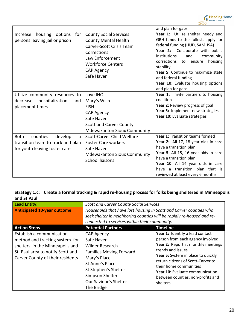

|                                                                                                               |                                                                                                                                                                                           | and plan for gaps                                                                                                                                                                                                                                                                                                                                           |
|---------------------------------------------------------------------------------------------------------------|-------------------------------------------------------------------------------------------------------------------------------------------------------------------------------------------|-------------------------------------------------------------------------------------------------------------------------------------------------------------------------------------------------------------------------------------------------------------------------------------------------------------------------------------------------------------|
| housing options<br>Increase<br>for<br>persons leaving jail or prison                                          | <b>County Social Services</b><br><b>County Mental Health</b><br>Carver-Scott Crisis Team<br>Corrections<br>Law Enforcement<br><b>Workforce Centers</b><br><b>CAP Agency</b><br>Safe Haven | Year 1: Utilize shelter needy and<br>GRH funds to the fullest, apply for<br>federal funding (HUD, SAMHSA)<br>Year 2: Collaborate with public<br>institutions<br>and<br>community<br>corrections to<br>housing<br>ensure<br>stability<br>Year 5: Continue to maximize state<br>and federal funding<br>Year 10: Evaluate housing options<br>and plan for gaps |
| Utilize community resources to<br>hospitalization<br>decrease<br>and<br>placement times                       | Love INC<br>Mary's Wish<br><b>FISH</b><br><b>CAP Agency</b><br>Safe Haven<br><b>Scott and Carver County</b><br><b>Mdewakanton Sioux Community</b>                                         | Year 1: Invite partners to housing<br>coalition<br>Year 2: Review progress of goal<br>Year 5: Implement new strategies<br>Year 10: Evaluate strategies                                                                                                                                                                                                      |
| <b>Both</b><br>counties<br>develop<br>a<br>transition team to track and plan<br>for youth leaving foster care | Scott-Carver Child Welfare<br><b>Foster Care workers</b><br>Safe Haven<br><b>Mdewakanton Sioux Community</b><br><b>School liaisons</b>                                                    | Year 1: Transition teams formed<br>Year 2: All 17, 18 year olds in care<br>have a transition plan<br>Year 5: All 15, 16 year olds in care<br>have a transition plan<br>Year 10: All 14 year olds in care<br>have a transition plan that is<br>reviewed at least every 6 months                                                                              |

# **Strategy 1.c: Create a formal tracking & rapid re-housing process for folks being sheltered in Minneapolis and St Paul**

| Lead Entity:                                                                                                                                                            | <b>Scott and Carver County Social Services</b>                                                                                                                                                     |                                                                                                                                                                                                                                                                                                                          |
|-------------------------------------------------------------------------------------------------------------------------------------------------------------------------|----------------------------------------------------------------------------------------------------------------------------------------------------------------------------------------------------|--------------------------------------------------------------------------------------------------------------------------------------------------------------------------------------------------------------------------------------------------------------------------------------------------------------------------|
| <b>Anticipated 10-year outcome</b>                                                                                                                                      | Households that have lost housing in Scott and Carver counties who<br>seek shelter in neighboring counties will be rapidly re-housed and re-<br>connected to services within their community.      |                                                                                                                                                                                                                                                                                                                          |
| <b>Action Steps</b>                                                                                                                                                     | <b>Potential Partners</b>                                                                                                                                                                          | <b>Timeline</b>                                                                                                                                                                                                                                                                                                          |
| Establish a communication<br>method and tracking system for<br>shelters in the Minneapolis and<br>St. Paul area to notify Scott and<br>Carver County of their residents | CAP Agency<br>Safe Haven<br>Wilder Research<br><b>Families Moving Forward</b><br>Mary's Place<br>St Anne's Place<br>St Stephen's Shelter<br>Simpson Shelter<br>Our Saviour's Shelter<br>The Bridge | Year 1: Identify a lead contact<br>person from each agency involved<br>Year 2: Report at monthly meetings<br>trends and issues<br>Year 5: System in place to quickly<br>return citizens of Scott-Carver to<br>their home communities<br>Year 10: Evaluate communication<br>between counties, non-profits and<br>shelters |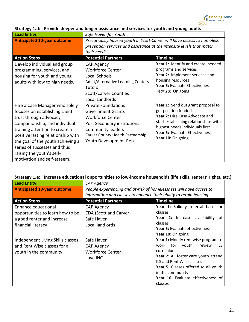

| <b>Lead Entity:</b>                                                                                                                                                                                                                                                                                                                   | Safe Haven for Youth                                                                                                                                                                                      |                                                                                                                                                                                                                                  |
|---------------------------------------------------------------------------------------------------------------------------------------------------------------------------------------------------------------------------------------------------------------------------------------------------------------------------------------|-----------------------------------------------------------------------------------------------------------------------------------------------------------------------------------------------------------|----------------------------------------------------------------------------------------------------------------------------------------------------------------------------------------------------------------------------------|
| <b>Anticipated 10-year outcome</b>                                                                                                                                                                                                                                                                                                    | Precariously housed youth in Scott-Carver will have access to homeless<br>prevention services and assistance at the intensity levels that match<br>their needs.                                           |                                                                                                                                                                                                                                  |
| <b>Action Steps</b>                                                                                                                                                                                                                                                                                                                   | <b>Potential Partners</b>                                                                                                                                                                                 | <b>Timeline</b>                                                                                                                                                                                                                  |
| Develop individual and group<br>programming, services, and<br>housing for youth and young<br>adults with low to high needs.                                                                                                                                                                                                           | <b>CAP Agency</b><br><b>Workforce Center</b><br>Local Schools<br>Adult/Alternative Learning Centers<br><b>Tutors</b><br><b>Scott/Carver Counties</b><br>Local Landlords                                   | Year 1: Identify and create needed<br>programs and services<br>Year 2: Implement services and<br>housing resources<br>Year 5: Evaluate Effectiveness<br>Year 10: On going                                                        |
| Hire a Case Manager who solely<br>focuses on establishing client<br>trust through advocacy,<br>companionship, and individual<br>training attention to create a<br>positive lasting relationship with<br>the goal of the youth achieving a<br>series of successes and thus<br>raising the youth's self-<br>motivation and self-esteem. | <b>Private Foundations</b><br><b>Government Grants</b><br><b>Workforce Center</b><br>Post Secondary institutions<br><b>Community leaders</b><br>Carver County Health Partnership<br>Youth Development Rep | Year 1: Send out grant proposal to<br>get position funded.<br>Year 2: Hire Case Advocate and<br>start establishing relationships with<br>highest needs individuals first.<br>Year 5: Evaluate Effectiveness<br>Year 10: On going |

### **Strategy 1.d: Provide deeper and longer assistance and services for youth and young adults**

### **Strategy 1.e: Increase educational opportunities to low-income households (life skills, renters' rights, etc.)**

| Lead Entity:                                                                                 | <b>CAP Agency</b>                                                      |                                                                                                                                                                                                                                                                                |
|----------------------------------------------------------------------------------------------|------------------------------------------------------------------------|--------------------------------------------------------------------------------------------------------------------------------------------------------------------------------------------------------------------------------------------------------------------------------|
| <b>Anticipated 10-year outcome</b>                                                           | People experiencing and at-risk of homelessness will have access to    |                                                                                                                                                                                                                                                                                |
|                                                                                              | information and classes to enhance their ability to retain housing     |                                                                                                                                                                                                                                                                                |
| <b>Action Steps</b>                                                                          | <b>Potential Partners</b>                                              | <b>Timeline</b>                                                                                                                                                                                                                                                                |
| Enhance educational<br>opportunities to learn how to be                                      | CAP Agency<br>CDA (Scott and Carver)                                   | Year 1: Solidify referral base for<br>classes                                                                                                                                                                                                                                  |
| a good renter and increase                                                                   | Safe Haven<br>Local landlords                                          | Year 2: Increase availability of<br>classes                                                                                                                                                                                                                                    |
| financial literacy                                                                           |                                                                        | <b>Year 5: Evaluate effectiveness</b><br>Year 10: On going                                                                                                                                                                                                                     |
| Independent Living Skills classes<br>and Rent Wise classes for all<br>youth in the community | Safe Haven<br><b>CAP Agency</b><br><b>Workforce Center</b><br>Love INC | Year 1: Modify rent wise program to<br>work for youth,<br>review<br>ILS<br>curriculum<br>Year 2: All foster care youth attend<br><b>ILS and Rent Wise classes</b><br>Year 5: Classes offered to all youth<br>in the community<br>Year 10: Evaluate effectiveness of<br>classes |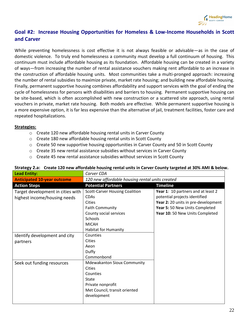

# **Goal #2: Increase Housing Opportunities for Homeless & Low-Income Households in Scott and Carver**

While preventing homelessness is cost effective it is not always feasible or advisable—as in the case of domestic violence. To truly end homelessness a community must develop a full continuum of housing. This continuum must include affordable housing as its foundation. Affordable housing can be created in a variety of ways—from increasing the number of rental assistance vouchers making rent affordable to an increase in the construction of affordable housing units. Most communities take a multi-pronged approach: increasing the number of rental subsidies to maximize private, market rate housing; and building new affordable housing. Finally, permanent supportive housing combines affordability and support services with the goal of ending the cycle of homelessness for persons with disabilities and barriers to housing. Permanent supportive housing can be site-based, which is often accomplished with new construction or a scattered site approach, using rental vouchers in private, market rate housing. Both models are effective. While permanent supportive housing is a more expensive option, it is far less expensive than the alternative of jail, treatment facilities, foster care and repeated hospitalizations.

### **Strategies:**

- o Create 120 new affordable housing rental units in Carver County
- o Create 180 new affordable housing rental units in Scott County
- $\circ$  Create 50 new supportive housing opportunities in Carver County and 50 in Scott County
- $\circ$  Create 35 new rental assistance subsidies without services in Carver County
- $\circ$  Create 45 new rental assistance subsidies without services in Scott County

| <b>Lead Entity:</b>                                               | Carver CDA                                                                                                                                                                          |                                                                                                                                                                                 |  |
|-------------------------------------------------------------------|-------------------------------------------------------------------------------------------------------------------------------------------------------------------------------------|---------------------------------------------------------------------------------------------------------------------------------------------------------------------------------|--|
| <b>Anticipated 10-year outcome</b>                                | 120 new affordable housing rental units created                                                                                                                                     |                                                                                                                                                                                 |  |
| <b>Action Steps</b>                                               | <b>Potential Partners</b>                                                                                                                                                           | <b>Timeline</b>                                                                                                                                                                 |  |
| Target development in cities with<br>highest income/housing needs | <b>Scott-Carver Housing Coalition</b><br><b>CDAs</b><br><b>Cities</b><br><b>Faith Community</b><br>County social services<br>Schools<br><b>MICAH</b><br><b>Habitat for Humanity</b> | Year 1: 10 partners and at least 2<br>potential projects identified<br>Year 2: 20 units in pre-development<br>Year 5: 50 New Units Completed<br>Year 10: 50 New Units Completed |  |
| Identify development and city<br>partners                         | Counties<br>Cities<br>Aeon<br>Duffy<br>Commonbond                                                                                                                                   |                                                                                                                                                                                 |  |
| Seek out funding resources                                        | <b>Mdewakanton Sioux Community</b><br><b>Cities</b><br>Counties<br>State<br>Private nonprofit<br>Met Council, transit oriented<br>development                                       |                                                                                                                                                                                 |  |

#### **Strategy 2.a: Create 120 new affordable housing rental units in Carver County targeted at 30% AMI & below.**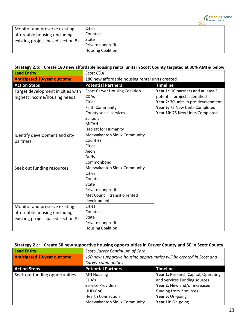

| Monitor and preserve existing     | Cities                   |  |
|-----------------------------------|--------------------------|--|
| affordable housing (including     | Counties                 |  |
| existing project-based section 8) | State                    |  |
|                                   | Private nonprofit        |  |
|                                   | <b>Housing Coalition</b> |  |

### **Strategy 2.b: Create 180 new affordable housing rental units in Scott County targeted at 30% AMI & below.**

| <b>Lead Entity:</b>                                                                                 | Scott CDA                                                                                                                                                                           |                                                                                                                                                                                 |
|-----------------------------------------------------------------------------------------------------|-------------------------------------------------------------------------------------------------------------------------------------------------------------------------------------|---------------------------------------------------------------------------------------------------------------------------------------------------------------------------------|
| <b>Anticipated 10-year outcome</b>                                                                  | 180 new affordable housing rental units created                                                                                                                                     |                                                                                                                                                                                 |
| <b>Action Steps</b>                                                                                 | <b>Potential Partners</b>                                                                                                                                                           | <b>Timeline</b>                                                                                                                                                                 |
| Target development in cities with<br>highest income/housing needs.                                  | <b>Scott-Carver Housing Coalition</b><br><b>CDAs</b><br><b>Cities</b><br><b>Faith Community</b><br>County social services<br>Schools<br><b>MICAH</b><br><b>Habitat for Humanity</b> | Year 1: 10 partners and at least 2<br>potential projects identified<br>Year 2: 30 units in pre-development<br>Year 5: 75 New Units Completed<br>Year 10: 75 New Units Completed |
| Identify development and city<br>partners.                                                          | <b>Mdewakanton Sioux Community</b><br>Counties<br><b>Cities</b><br>Aeon<br>Duffy<br>Commonbond                                                                                      |                                                                                                                                                                                 |
| Seek out funding resources.                                                                         | <b>Mdewakanton Sioux Community</b><br><b>Cities</b><br>Counties<br>State<br>Private nonprofit<br>Met Council, transit oriented<br>development                                       |                                                                                                                                                                                 |
| Monitor and preserve existing<br>affordable housing (including<br>existing project-based section 8) | <b>Cities</b><br>Counties<br><b>State</b><br>Private nonprofit<br><b>Housing Coalition</b>                                                                                          |                                                                                                                                                                                 |

# **Strategy 2.c: Create 50 new supportive housing opportunities in Carver County and 50 in Scott County**

| <b>Lead Entity:</b>                | Scott-Carver Continuum of Care                                        |                                      |
|------------------------------------|-----------------------------------------------------------------------|--------------------------------------|
| <b>Anticipated 10-year outcome</b> | 100 new supportive housing opportunities will be created in Scott and |                                      |
|                                    | Carver communities                                                    |                                      |
| <b>Action Steps</b>                | <b>Potential Partners</b>                                             | <b>Timeline</b>                      |
| Seek out funding opportunities.    | <b>MN Housing</b>                                                     | Year 1: Research Capital, Operating, |
|                                    | CDA's                                                                 | and Services Funding sources         |
|                                    | <b>Service Providers</b>                                              | Year 2: New and/or increased         |
|                                    | HUD-CoC                                                               | funding from 2 sources               |
|                                    | <b>Hearth Connection</b>                                              | Year 5: On-going                     |
|                                    | <b>Mdewakanton Sioux Community</b>                                    | Year 10: On-going                    |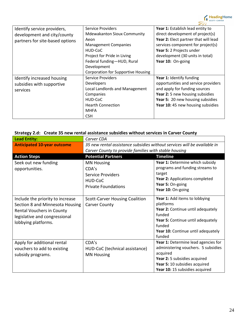

| <b>Service Providers</b>                  | Year 1: Establish lead entity to     |
|-------------------------------------------|--------------------------------------|
| <b>Mdewakanton Sioux Community</b>        | direct development of project(s)     |
| Aeon                                      | Year 2: Elect partner that will lead |
| <b>Management Companies</b>               | services component for project(s)    |
| HUD-CoC                                   | Year 5: 2 Projects under             |
| Project for Pride in Living               | development (30 units in total)      |
| Federal funding-HUD, Rural                | Year 10: On-going                    |
| Development                               |                                      |
| <b>Corporation for Supportive Housing</b> |                                      |
| <b>Service Providers</b>                  | Year 1: Identify funding             |
| <b>Developers</b>                         | opportunities and service providers  |
| Local Landlords and Management            | and apply for funding sources        |
| Companies                                 | Year 2: 5 new housing subsidies      |
| HUD-CoC                                   | Year 5: 20 new housing subsidies     |
| <b>Hearth Connection</b>                  | Year 10: 45 new housing subsidies    |
| <b>MHFA</b>                               |                                      |
| <b>CSH</b>                                |                                      |
|                                           |                                      |

# **Strategy 2.d: Create 35 new rental assistance subsidies without services in Carver County**

| <b>Lead Entity:</b>                                                                                                                                      | Carver CDA                                                                                                                        |                                                                                                                                                                                           |
|----------------------------------------------------------------------------------------------------------------------------------------------------------|-----------------------------------------------------------------------------------------------------------------------------------|-------------------------------------------------------------------------------------------------------------------------------------------------------------------------------------------|
| <b>Anticipated 10-year outcome</b>                                                                                                                       | 35 new rental assistance subsidies without services will be available in<br>Carver County to provide families with stable housing |                                                                                                                                                                                           |
| <b>Action Steps</b>                                                                                                                                      | <b>Potential Partners</b>                                                                                                         | <b>Timeline</b>                                                                                                                                                                           |
| Seek out new funding<br>opportunities.                                                                                                                   | <b>MN Housing</b><br>CDA's<br>Service Providers<br>HUD-CoC<br><b>Private Foundations</b>                                          | Year 1: Determine which subsidy<br>programs and funding streams to<br>target<br>Year 2: Applications completed<br>Year 5: On-going<br>Year 10: On-going                                   |
| Include the priority to increase<br>Section 8 and Minnesota Housing<br>Rental Vouchers in County<br>legislative and congressional<br>lobbying platforms. | <b>Scott-Carver Housing Coalition</b><br><b>Carver County</b>                                                                     | Year 1: Add items to lobbying<br>platforms<br>Year 2: Continue until adequately<br>funded<br>Year 5: Continue until adequately<br>funded<br>Year 10: Continue until adequately<br>funded  |
| Apply for additional rental<br>vouchers to add to existing<br>subsidy programs.                                                                          | CDA's<br>HUD-CoC (technical assistance)<br><b>MN Housing</b>                                                                      | Year 1: Determine lead agencies for<br>administering vouchers. 5 subsidies<br>acquired<br>Year 2: 5 subsidies acquired<br>Year 5: 10 subsidies acquired<br>Year 10: 15 subsidies acquired |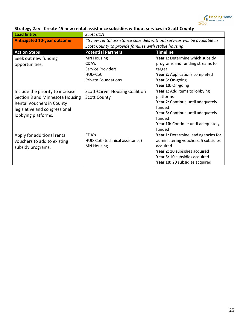

| <b>Lead Entity:</b>                | Scott CDA                                                                |                                     |
|------------------------------------|--------------------------------------------------------------------------|-------------------------------------|
| <b>Anticipated 10-year outcome</b> | 45 new rental assistance subsidies without services will be available in |                                     |
|                                    | Scott County to provide families with stable housing                     |                                     |
| <b>Action Steps</b>                | <b>Potential Partners</b>                                                | <b>Timeline</b>                     |
| Seek out new funding               | <b>MN Housing</b>                                                        | Year 1: Determine which subsidy     |
| opportunities.                     | CDA's                                                                    | programs and funding streams to     |
|                                    | Service Providers                                                        | target                              |
|                                    | HUD-CoC                                                                  | Year 2: Applications completed      |
|                                    | <b>Private Foundations</b>                                               | Year 5: On-going                    |
|                                    |                                                                          | Year 10: On-going                   |
| Include the priority to increase   | <b>Scott-Carver Housing Coalition</b>                                    | Year 1: Add items to lobbying       |
| Section 8 and Minnesota Housing    | <b>Scott County</b>                                                      | platforms                           |
| Rental Vouchers in County          |                                                                          | Year 2: Continue until adequately   |
| legislative and congressional      |                                                                          | funded                              |
| lobbying platforms.                |                                                                          | Year 5: Continue until adequately   |
|                                    |                                                                          | funded                              |
|                                    |                                                                          | Year 10: Continue until adequately  |
|                                    |                                                                          | funded                              |
| Apply for additional rental        | CDA's                                                                    | Year 1: Determine lead agencies for |
| vouchers to add to existing        | HUD-CoC (technical assistance)                                           | administering vouchers. 5 subsidies |
| subsidy programs.                  | <b>MN Housing</b>                                                        | acquired                            |
|                                    |                                                                          | Year 2: 10 subsidies acquired       |
|                                    |                                                                          | Year 5: 10 subsidies acquired       |
|                                    |                                                                          | Year 10: 20 subsidies acquired      |

# **Strategy 2.e: Create 45 new rental assistance subsidies without services in Scott County**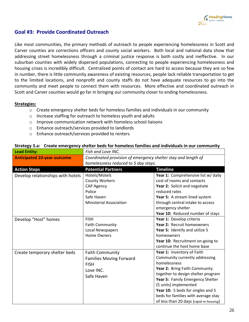

# **Goal #3: Provide Coordinated Outreach**

Like most communities, the primary methods of outreach to people experiencing homelessness in Scott and Carver counties are corrections officers and county social workers. Both local and national data show that addressing street homelessness through a criminal justice response is both costly and ineffective. In our suburban counties with widely dispersed populations, connecting to people experiencing homelessness and housing crises is incredibly difficult. Centralized points of contact are hard to access because they are so few in number, there is little community awareness of existing resources, people lack reliable transportation to get to the limited locations, and nonprofit and county staffs do not have adequate resources to go into the community and meet people to connect them with resources. More effective and coordinated outreach in Scott and Carver counties would go far in bringing our community closer to ending homelessness.

#### **Strategies:**

- $\circ$  Create emergency shelter beds for homeless families and individuals in our community
- o Increase staffing for outreach to homeless youth and adults
- o Improve communication network with homeless school liaisons
- o Enhance outreach/services provided to landlords
- o Enhance outreach/services provided to renters

| <b>Lead Entity:</b>                | Fish and Love INC.                                                                                                    |                                                                                                                                                                                                                                                                                                                                         |
|------------------------------------|-----------------------------------------------------------------------------------------------------------------------|-----------------------------------------------------------------------------------------------------------------------------------------------------------------------------------------------------------------------------------------------------------------------------------------------------------------------------------------|
| <b>Anticipated 10-year outcome</b> | Coordinated provision of emergency shelter stay and length of                                                         |                                                                                                                                                                                                                                                                                                                                         |
|                                    | homelessness reduced to 5 day stays.                                                                                  |                                                                                                                                                                                                                                                                                                                                         |
| <b>Action Steps</b>                | <b>Potential Partners</b>                                                                                             | <b>Timeline</b>                                                                                                                                                                                                                                                                                                                         |
| Develop relationships with hotels  | Hotels/Motels<br><b>County Workers</b><br><b>CAP Agency</b><br>Police<br>Safe Haven<br><b>Ministerial Association</b> | Year 1: Comprehensive list w/ daily<br>cost of rooms and contacts<br>Year 2: Solicit and negotiate<br>reduced rates<br>Year 5: A stream lined system<br>through central intake to access<br>emergency shelter<br>Year 10: Reduced number of stays                                                                                       |
| Develop "Host" homes               | <b>FISH</b><br><b>Faith Community</b><br><b>Local Newspapers</b><br><b>Home Owners</b>                                | Year 1: Develop criteria<br>Year 2: Recruit homeowners<br>Year 5: Identify and utilize 5<br>homeowners<br>Year 10: Recruitment on-going to<br>continue the host home base                                                                                                                                                               |
| Create temporary shelter beds      | <b>Faith Community</b><br><b>Families Moving Forward</b><br><b>FISH</b><br>Love INC.<br>Safe Haven                    | Year 1: Inventory of Faith<br>Community currently addressing<br>homelessness<br>Year 2: Bring Faith Community<br>together to design shelter program<br>Year 5: Family Emergency Shelter<br>(5 units) implemented<br>Year 10: 5 beds for singles and 5<br>beds for families with average stay<br>of less than 20 days (rapid re-housing) |

#### **Strategy 3.a: Create emergency shelter beds for homeless families and individuals in our community**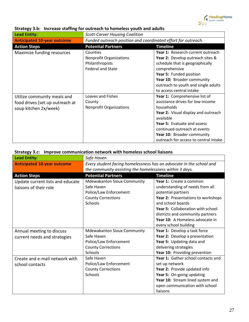

| <b>Lead Entity:</b>                                                                     | <b>Scott-Carver Housing Coalition</b>                                                     |                                                                                                                                                                                                                                                                                  |
|-----------------------------------------------------------------------------------------|-------------------------------------------------------------------------------------------|----------------------------------------------------------------------------------------------------------------------------------------------------------------------------------------------------------------------------------------------------------------------------------|
| <b>Anticipated 10-year outcome</b>                                                      | Funded outreach position and coordinated effort for outreach.                             |                                                                                                                                                                                                                                                                                  |
| <b>Action Steps</b>                                                                     | <b>Potential Partners</b>                                                                 | <b>Timeline</b>                                                                                                                                                                                                                                                                  |
| Maximize funding resources                                                              | Counties<br><b>Nonprofit Organizations</b><br>Philanthropists<br><b>Federal and State</b> | Year 1: Research current outreach<br>Year 2: Develop outreach sites &<br>schedule that is geographically<br>comprehensive<br>Year 5: Funded position<br>Year 10: Broader community<br>outreach to youth and single adults<br>to access central intake                            |
| Utilize community meals and<br>food drives (set up outreach at<br>soup kitchen 2x/week) | Loaves and Fishes<br>County<br><b>Nonprofit Organizations</b>                             | Year 1: Comprehensive list of<br>assistance drives for low-income<br>households<br>Year 2: Visual display and outreach<br>available<br><b>Year 5: Evaluate and assess</b><br>continued outreach at events<br>Year 10: Broader community<br>outreach for access to central intake |

# **Strategy 3.b: Increase staffing for outreach to homeless youth and adults**

|  | Strategy 3.c: Improve communication network with homeless school liaisons |
|--|---------------------------------------------------------------------------|
|--|---------------------------------------------------------------------------|

| <b>Lead Entity:</b>                | Safe Haven                                                          |                                    |
|------------------------------------|---------------------------------------------------------------------|------------------------------------|
| <b>Anticipated 10-year outcome</b> | Every student facing homelessness has an advocate in the school and |                                    |
|                                    | the community assisting the homelessness within 3 days.             |                                    |
| <b>Action Steps</b>                | <b>Potential Partners</b>                                           | <b>Timeline</b>                    |
| Update current lists and educate   | <b>Mdewakanton Sioux Community</b>                                  | Year 1: Create a common            |
| liaisons of their role             | Safe Haven                                                          | understanding of needs from all    |
|                                    | Police/Law Enforcement                                              | potential partners                 |
|                                    | <b>County Corrections</b>                                           | Year 2: Presentations to workshops |
|                                    | Schools                                                             | and school boards                  |
|                                    |                                                                     | Year 5: Collaboration with school  |
|                                    |                                                                     | districts and community partners   |
|                                    |                                                                     | Year 10: A Homeless advocate in    |
|                                    |                                                                     | every school building              |
| Annual meeting to discuss          | <b>Mdewakanton Sioux Community</b>                                  | Year 1: Develop a task force       |
| current needs and strategies       | Safe Haven                                                          | Year 2: Develop a presentation     |
|                                    | Police/Law Enforcement                                              | Year 5: Updating data and          |
|                                    | <b>County Corrections</b>                                           | delivering strategies              |
|                                    | Schools                                                             | Year 10: Providing prevention      |
| Create and e-mail network with     | Safe Haven                                                          | Year 1: Gather school contacts and |
| school contacts                    | Police/Law Enforcement                                              | set up network                     |
|                                    | <b>County Corrections</b>                                           | Year 2: Provide updated info       |
|                                    | Schools                                                             | Year 5: On-going updating          |
|                                    |                                                                     | Year 10: Stream lined system and   |
|                                    |                                                                     | open communication with school     |
|                                    |                                                                     | liaisons                           |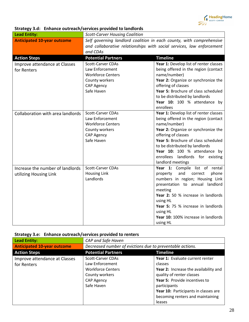

|  | Strategy 3.d: Enhance outreach/services provided to landlords |
|--|---------------------------------------------------------------|
|--|---------------------------------------------------------------|

| <b>Lead Entity:</b>                | <b>Scott-Carver Housing Coalition</b>                                 |                                                                  |
|------------------------------------|-----------------------------------------------------------------------|------------------------------------------------------------------|
| <b>Anticipated 10-year outcome</b> | Self governing landlord coalition in each county, with comprehensive  |                                                                  |
|                                    | and collaborative relationships with social services, law enforcement |                                                                  |
|                                    | and CDAs                                                              |                                                                  |
| <b>Action Steps</b>                | <b>Potential Partners</b>                                             | <b>Timeline</b>                                                  |
| Improve attendance at Classes      | <b>Scott-Carver CDAs</b>                                              | Year 1: Develop list of renter classes                           |
| for Renters                        | Law Enforcement                                                       | being offered in the region (contact                             |
|                                    | <b>Workforce Centers</b>                                              | name/number)                                                     |
|                                    | County workers                                                        | Year 2: Organize or synchronize the                              |
|                                    | CAP Agency                                                            | offering of classes                                              |
|                                    | Safe Haven                                                            | Year 5: Brochure of class scheduled                              |
|                                    |                                                                       | to be distributed by landlords                                   |
|                                    |                                                                       | Year 10: 100 % attendance by                                     |
|                                    |                                                                       | enrollees                                                        |
| Collaboration with area landlords  | <b>Scott-Carver CDAs</b>                                              | Year 1: Develop list of renter classes                           |
|                                    | Law Enforcement                                                       | being offered in the region (contact                             |
|                                    | <b>Workforce Centers</b>                                              | name/number)                                                     |
|                                    | County workers                                                        | Year 2: Organize or synchronize the                              |
|                                    | <b>CAP Agency</b>                                                     | offering of classes                                              |
|                                    | Safe Haven                                                            | Year 5: Brochure of class scheduled                              |
|                                    |                                                                       | to be distributed by landlords                                   |
|                                    |                                                                       | Year 10: 100 % attendance by<br>enrollees landlords for existing |
|                                    |                                                                       | landlord meetings                                                |
| Increase the number of landlords   | Scott-Carver CDAs                                                     | Year 1: Compile list of rental                                   |
|                                    | <b>Housing Link</b>                                                   | and<br>phone<br>property<br>correct                              |
| utilizing Housing Link             | Landlords                                                             | numbers in region; Housing Link                                  |
|                                    |                                                                       | presentation to annual landlord                                  |
|                                    |                                                                       | meeting                                                          |
|                                    |                                                                       | Year 2: 50 % increase in landlords                               |
|                                    |                                                                       | using HL                                                         |
|                                    |                                                                       | Year 5: 75 % increase in landlords                               |
|                                    |                                                                       | using HL                                                         |
|                                    |                                                                       | Year 10: 100% increase in landlords                              |
|                                    |                                                                       | using HL                                                         |

|  | Strategy 3.e: Enhance outreach/services provided to renters |
|--|-------------------------------------------------------------|
|--|-------------------------------------------------------------|

| <b>Lead Entity:</b>                | CAP and Safe Haven                                        |                                       |
|------------------------------------|-----------------------------------------------------------|---------------------------------------|
| <b>Anticipated 10-year outcome</b> | Decreased number of evictions due to preventable actions. |                                       |
| <b>Action Steps</b>                | <b>Potential Partners</b>                                 | <b>Timeline</b>                       |
| Improve attendance at Classes      | <b>Scott-Carver CDAs</b>                                  | Year 1: Evaluate current renter       |
| for Renters                        | Law Enforcement                                           | classes                               |
|                                    | <b>Workforce Centers</b>                                  | Year 2: Increase the availability and |
|                                    | County workers                                            | quality of renter classes             |
|                                    | CAP Agency                                                | Year 5: Provide incentives to         |
|                                    | Safe Haven                                                | participants                          |
|                                    |                                                           | Year 10: Participants in classes are  |
|                                    |                                                           | becoming renters and maintaining      |
|                                    |                                                           | leases                                |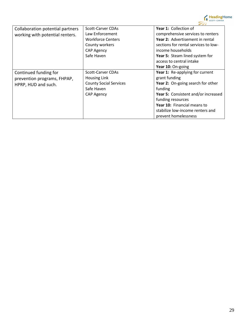

| Collaboration potential partners | <b>Scott-Carver CDAs</b>      | Year 1: Collection of                |
|----------------------------------|-------------------------------|--------------------------------------|
| working with potential renters.  | Law Enforcement               | comprehensive services to renters    |
|                                  | <b>Workforce Centers</b>      | Year 2: Advertisement in rental      |
|                                  | County workers                | sections for rental services to low- |
|                                  | <b>CAP Agency</b>             | income households                    |
|                                  | Safe Haven                    | Year 5: Steam lined system for       |
|                                  |                               | access to central intake             |
|                                  |                               | Year 10: On-going                    |
| Continued funding for            | <b>Scott-Carver CDAs</b>      | Year 1: Re-applying for current      |
| prevention programs, FHPAP,      | Housing Link                  | grant funding                        |
| HPRP, HUD and such.              | <b>County Social Services</b> | Year 2: On-going search for other    |
|                                  | Safe Haven                    | funding                              |
|                                  | CAP Agency                    | Year 5: Consistent and/or increased  |
|                                  |                               | funding resources                    |
|                                  |                               | Year 10: Financial means to          |
|                                  |                               | stabilize low-income renters and     |
|                                  |                               | prevent homelessness                 |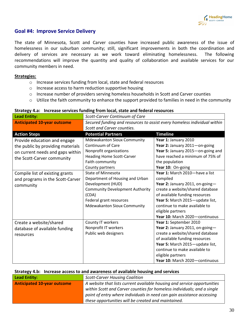

# **Goal #4: Improve Service Delivery**

The state of Minnesota, Scott and Carver counties have increased public awareness of the issue of homelessness in our suburban community; still, significant improvements in both the coordination and delivery of services are necessary as we work toward eliminating homelessness. The following recommendations will improve the quantity and quality of collaboration and available services for our community members in need.

#### **Strategies:**

- o Increase services funding from local, state and federal resources
- o Increase access to harm reduction supportive housing
- o Increase number of providers serving homeless households in Scott and Carver counties
- o Utilize the faith community to enhance the support provided to families in need in the community

| <b>Lead Entity:</b>                                                                                                                 | Scott-Carver Continuum of Care                                                                                                                                                                        |                                                                                                                                                                                                                                                                                |
|-------------------------------------------------------------------------------------------------------------------------------------|-------------------------------------------------------------------------------------------------------------------------------------------------------------------------------------------------------|--------------------------------------------------------------------------------------------------------------------------------------------------------------------------------------------------------------------------------------------------------------------------------|
| <b>Anticipated 10-year outcome</b>                                                                                                  | Secured funding and resources to assist every homeless individual within<br>Scott and Carver counties.                                                                                                |                                                                                                                                                                                                                                                                                |
| <b>Action Steps</b>                                                                                                                 | <b>Potential Partners</b>                                                                                                                                                                             | <b>Timeline</b>                                                                                                                                                                                                                                                                |
| Provide education and engage<br>the public by providing materials<br>on current needs and gaps within<br>the Scott-Carver community | <b>Mdewakanton Sioux Community</b><br>Continuum of Care<br>Nonprofit organizations<br><b>Heading Home Scott-Carver</b><br>Faith community<br>County partners                                          | Year 1: January 2010<br>Year 2: January 2011-on-going<br>Year 5: January 2015-on-going and<br>have reached a minimum of 75% of<br>the population<br>Year 10: On-going                                                                                                          |
| Compile list of existing grants<br>and programs in the Scott-Carver<br>community                                                    | <b>State of Minnesota</b><br>Department of Housing and Urban<br>Development (HUD)<br><b>Community Development Authority</b><br>(CDA)<br>Federal grant resources<br><b>Mdewakanton Sioux Community</b> | Year 1: March 2010-have a list<br>compiled<br>Year 2: January 2011, on-going-<br>create a website/shared database<br>of available funding resources<br>Year 5: March 2015-update list,<br>continue to make available to<br>eligible partners<br>Year 10: March 2020-continuous |
| Create a website/shared<br>database of available funding<br>resources                                                               | County IT workers<br>Nonprofit IT workers<br>Public web designers                                                                                                                                     | Year 1: September 2010<br>Year 2: January 2011, on-going-<br>create a website/shared database<br>of available funding resources<br>Year 5: March 2015-update list,<br>continue to make available to<br>eligible partners<br>Year 10: March 2020-continuous                     |

#### **Strategy 4.a: Increase services funding from local, state and federal resources**

|  |  | Strategy 4.b: Increase access to and awareness of available housing and services |
|--|--|----------------------------------------------------------------------------------|
|--|--|----------------------------------------------------------------------------------|

| Lead Entity:                       | <b>Scott-Carver Housing Coalition</b>                                    |  |
|------------------------------------|--------------------------------------------------------------------------|--|
| <b>Anticipated 10-year outcome</b> | A website that lists current available housing and service opportunities |  |
|                                    | within Scott and Carver counties for homeless individuals; and a single  |  |
|                                    | point of entry where individuals in need can gain assistance accessing   |  |
|                                    | these opportunities will be created and maintained.                      |  |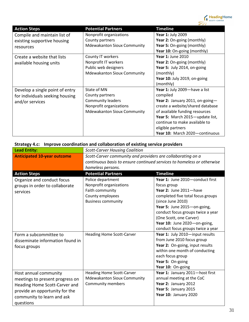

| <b>Action Steps</b>             | <b>Potential Partners</b>          | <b>Timeline</b>                  |
|---------------------------------|------------------------------------|----------------------------------|
| Compile and maintain list of    | Nonprofit organizations            | Year 1: July 2009                |
| existing supportive housing     | County partners                    | Year 2: On-going (monthly)       |
| resources                       | <b>Mdewakanton Sioux Community</b> | Year 5: On-going (monthly)       |
|                                 |                                    | Year 10: On-going (monthly)      |
| Create a website that lists     | County IT workers                  | <b>Year 1: June 2010</b>         |
| available housing units         | Nonprofit IT workers               | Year 2: On-going (monthly)       |
|                                 | Public web designers               | Year 5: July 2014, on-going      |
|                                 | <b>Mdewakanton Sioux Community</b> | (monthly)                        |
|                                 |                                    | Year 10: July 2019, on-going     |
|                                 |                                    | (monthly)                        |
| Develop a single point of entry | State of MN                        | Year 1: July 2009-have a list    |
| for individuals seeking housing | County partners                    | compiled                         |
| and/or services                 | <b>Community leaders</b>           | Year 2: January 2011, on-going-  |
|                                 | Nonprofit organizations            | create a website/shared database |
|                                 | <b>Mdewakanton Sioux Community</b> | of available funding resources   |
|                                 |                                    | Year 5: March 2015-update list,  |
|                                 |                                    | continue to make available to    |
|                                 |                                    | eligible partners                |
|                                 |                                    | Year 10: March 2020-continuous   |

# **Strategy 4.c: Improve coordination and collaboration of existing service providers**

| <b>Lead Entity:</b>                | <b>Scott-Carver Housing Coalition</b>                                  |                                   |
|------------------------------------|------------------------------------------------------------------------|-----------------------------------|
| <b>Anticipated 10-year outcome</b> | Scott-Carver community and providers are collaborating on a            |                                   |
|                                    | continuous basis to ensure continued services to homeless or otherwise |                                   |
|                                    | homeless persons.                                                      |                                   |
| <b>Action Steps</b>                | <b>Timeline</b><br><b>Potential Partners</b>                           |                                   |
| Organize and conduct focus         | Police department                                                      | Year 1: June 2010-conduct first   |
| groups in order to collaborate     | Nonprofit organizations                                                | focus group                       |
| services                           | Faith community                                                        | Year 2: June 2011-have            |
|                                    | County employees                                                       | completed five total focus groups |
|                                    | <b>Business community</b>                                              | (since June 2010)                 |
|                                    |                                                                        | Year 5: June 2015-on-going,       |
|                                    |                                                                        | conduct focus groups twice a year |
|                                    |                                                                        | (One Scott, one Carver)           |
|                                    |                                                                        | Year 10: June 2020-on-going,      |
|                                    |                                                                        | conduct focus groups twice a year |
| Form a subcommittee to             | <b>Heading Home Scott-Carver</b>                                       | Year 1: July 2010-input results   |
| disseminate information found in   |                                                                        | from June 2010 focus group        |
| focus groups                       |                                                                        | Year 2: On-going, input results   |
|                                    |                                                                        | within one month of conducting    |
|                                    |                                                                        | each focus group                  |
|                                    |                                                                        | Year 5: On-going                  |
|                                    |                                                                        | Year 10: On-going                 |
| Host annual community              | <b>Heading Home Scott-Carver</b>                                       | Year 1: January 2011-host first   |
| meetings to present progress on    | <b>Mdewakanton Sioux Community</b>                                     | annual meeting at the CoC         |
| Heading Home Scott-Carver and      | <b>Community members</b>                                               | Year 2: January 2012              |
| provide an opportunity for the     |                                                                        | Year 5: January 2015              |
| community to learn and ask         |                                                                        | Year 10: January 2020             |
| questions                          |                                                                        |                                   |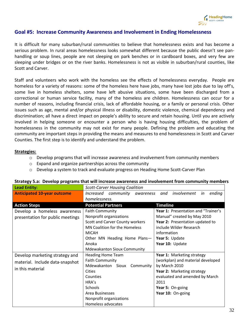

### **Goal #5: Increase Community Awareness and Involvement in Ending Homelessness**

It is difficult for many suburban/rural communities to believe that homelessness exists and has become a serious problem. In rural areas homelessness looks somewhat different because the public doesn't see panhandling or soup lines, people are not sleeping on park benches or in cardboard boxes, and very few are sleeping under bridges or on the river banks. Homelessness is not as visible in suburban/rural counties, like Scott and Carver.

Staff and volunteers who work with the homeless see the effects of homelessness everyday. People are homeless for a variety of reasons: some of the homeless here have jobs, many have lost jobs due to lay off's, some live in homeless shelters, some have left abusive situations, some have been discharged from a correctional or human service facility, many of the homeless are children. Homelessness can occur for a number of reasons, including financial crisis, lack of affordable housing, or a family or personal crisis. Other issues such as age, mental and/or physical illness or disability, domestic violence, chemical dependency and discrimination; all have a direct impact on people's ability to secure and retain housing. Until you are actively involved in helping someone or encounter a person who is having housing difficulties, the problem of homelessness in the community may not exist for many people. Defining the problem and educating the community are important steps in providing the means and measures to end homelessness in Scott and Carver Counties. The first step is to identify and understand the problem.

#### **Strategies:**

- o Develop programs that will increase awareness and involvement from community members
- o Expand and organize partnerships across the community
- o Develop a system to track and evaluate progress on Heading Home Scott-Carver Plan

| <b>Lead Entity:</b>                                                                   | <b>Scott-Carver Housing Coalition</b>                                                                                                                                                                                                                                                                                                                                                                                 |  |
|---------------------------------------------------------------------------------------|-----------------------------------------------------------------------------------------------------------------------------------------------------------------------------------------------------------------------------------------------------------------------------------------------------------------------------------------------------------------------------------------------------------------------|--|
| <b>Anticipated 10-year outcome</b>                                                    | and involvement<br>Increased<br>community awareness<br>ending<br>in                                                                                                                                                                                                                                                                                                                                                   |  |
|                                                                                       | homelessness.                                                                                                                                                                                                                                                                                                                                                                                                         |  |
| <b>Action Steps</b>                                                                   | <b>Potential Partners</b><br><b>Timeline</b>                                                                                                                                                                                                                                                                                                                                                                          |  |
| Develop a homeless awareness<br>presentation for public meetings                      | Year 1: Presentation and "Trainer's<br><b>Faith Community</b><br>Nonprofit organizations<br>Manual" created by May 2010<br>Scott and Carver County workers<br>Year 2: Presentation updated to<br>MN Coalition for the Homeless<br>include Wilder Research<br><b>MICAH</b><br>information<br>Other MN Heading Home Plans-<br>Year 5: Update<br>Year 10: Update<br>Anoka<br><b>Mdewakanton Sioux Community</b>          |  |
| Develop marketing strategy and<br>material. Include data-snapshot<br>in this material | Year 1: Marketing strategy<br><b>Heading Home Team</b><br>(workplan) and material developed<br><b>Faith Community</b><br>by March 2010<br>Mdewakanton Sioux<br>Community<br><b>Cities</b><br>Year 2: Marketing strategy<br>evaluated and amended by March<br>Counties<br>HRA's<br>2011<br><b>Schools</b><br>Year 5: On-going<br>Year 10: On-going<br>Area Businesses<br>Nonprofit organizations<br>Homeless advocates |  |

#### **Strategy 5.a: Develop programs that will increase awareness and involvement from community members**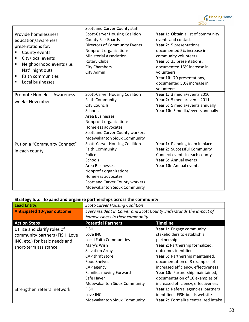

|                                                                                                                                                                                                                              | Scott and Carver County staff                                                                                                                                                                                                                                 |                                                                                                                                                                                                                                                                                 |
|------------------------------------------------------------------------------------------------------------------------------------------------------------------------------------------------------------------------------|---------------------------------------------------------------------------------------------------------------------------------------------------------------------------------------------------------------------------------------------------------------|---------------------------------------------------------------------------------------------------------------------------------------------------------------------------------------------------------------------------------------------------------------------------------|
| Provide homelessness<br>education/awareness<br>presentations for:<br>County events<br>City/local events<br>п<br>Neighborhood events (i.e.<br>П<br>Nat'l night out)<br><b>Faith communities</b><br>п<br>Local businesses<br>п | <b>Scott-Carver Housing Coalition</b><br><b>County Fair Boards</b><br><b>Directors of Community Events</b><br>Nonprofit organizations<br><b>Ministerial Association</b><br><b>Rotary Clubs</b><br><b>City Chambers</b><br>City Admin                          | Year 1: Obtain a list of community<br>events and contacts<br>Year 2: 5 presentations,<br>documented 5% increase in<br>community volunteers<br>Year 5: 25 presentations,<br>documented 15% increase in<br>volunteers<br>Year 10: 70 presentations,<br>documented 50% increase in |
| <b>Promote Homeless Awareness</b><br>week - November                                                                                                                                                                         | <b>Scott-Carver Housing Coalition</b><br><b>Faith Community</b><br><b>City Councils</b><br><b>Schools</b><br>Area Businesses<br>Nonprofit organizations<br>Homeless advocates<br><b>Scott and Carver County workers</b><br><b>Mdewakanton Sioux Community</b> | volunteers<br>Year 1: 3 media/events 2010<br>Year 2: 5 media/events 2011<br>Year 5: 5 media/events annually<br>Year 10: 5 media/events annually                                                                                                                                 |
| Put on a "Community Connect"<br>in each county                                                                                                                                                                               | <b>Scott-Carver Housing Coalition</b><br><b>Faith Community</b><br>Police<br><b>Schools</b><br>Area Businesses<br>Nonprofit organizations<br>Homeless advocates<br>Scott and Carver County workers<br><b>Mdewakanton Sioux Community</b>                      | Year 1: Planning team in place<br>Year 2: Successful Community<br>Connect events in each county<br>Year 5: Annual events<br>Year 10: Annual events                                                                                                                              |

# **Strategy 5.b: Expand and organize partnerships across the community**

| <b>Lead Entity:</b>                                                                                                       | <b>Scott-Carver Housing Coalition</b>                                                                                                        |                                                                                                                                                                                                                                              |
|---------------------------------------------------------------------------------------------------------------------------|----------------------------------------------------------------------------------------------------------------------------------------------|----------------------------------------------------------------------------------------------------------------------------------------------------------------------------------------------------------------------------------------------|
| <b>Anticipated 10-year outcome</b>                                                                                        | Every resident in Carver and Scott County understands the impact of                                                                          |                                                                                                                                                                                                                                              |
|                                                                                                                           | homelessness in their community.                                                                                                             |                                                                                                                                                                                                                                              |
| <b>Action Steps</b>                                                                                                       | <b>Potential Partners</b>                                                                                                                    | <b>Timeline</b>                                                                                                                                                                                                                              |
| Utilize and clarify roles of<br>community partners (FISH, Love<br>INC, etc.) for basic needs and<br>short-term assistance | <b>FISH</b><br>Love INC<br>Local Faith Communities<br>Mary's Wish<br>Salvation Army<br>CAP thrift store<br><b>Food Shelves</b><br>CAP agency | Year 1: Engage community<br>stakeholders to establish a<br>partnership<br>Year 2: Partnership formalized,<br>outcomes identified<br>Year 5: Partnership maintained,<br>documentation of 3 examples of<br>increased efficiency, effectiveness |
|                                                                                                                           | Families moving Forward<br>Safe Haven<br><b>Mdewakanton Sioux Community</b>                                                                  | Year 10: Partnership maintained,<br>documentation of 10 examples of<br>increased efficiency, effectiveness                                                                                                                                   |
| Strengthen referral network                                                                                               | <b>FISH</b><br>Love INC<br><b>Mdewakanton Sioux Community</b>                                                                                | Year 1: Referral agencies, partners<br>identified. FISH builds website<br>Year 2: Formalize centralized intake                                                                                                                               |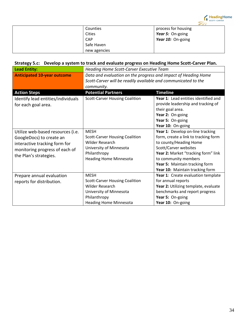

| Counties     | process for housing |
|--------------|---------------------|
| Cities       | Year 5: On-going    |
| <b>CAP</b>   | Year 10: On-going   |
| Safe Haven   |                     |
| new agencies |                     |

### **Strategy 5.c: Develop a system to track and evaluate progress on Heading Home Scott-Carver Plan.**

| <b>Lead Entity:</b>                | <b>Heading Home Scott-Carver Executive Team</b>                |                                      |
|------------------------------------|----------------------------------------------------------------|--------------------------------------|
| <b>Anticipated 10-year outcome</b> | Data and evaluation on the progress and impact of Heading Home |                                      |
|                                    | Scott-Carver will be readily available and communicated to the |                                      |
|                                    | community.                                                     |                                      |
| <b>Action Steps</b>                | <b>Potential Partners</b>                                      | <b>Timeline</b>                      |
| Identify lead entities/individuals | <b>Scott-Carver Housing Coalition</b>                          | Year 1: Lead entities identified and |
| for each goal area.                |                                                                | provide leadership and tracking of   |
|                                    |                                                                | their goal area.                     |
|                                    |                                                                | Year 2: On-going                     |
|                                    |                                                                | Year 5: On-going                     |
|                                    |                                                                | Year 10: On-going                    |
| Utilize web-based resources (i.e.  | <b>MESH</b>                                                    | Year 1: Develop on-line tracking     |
| GoogleDocs) to create an           | <b>Scott-Carver Housing Coalition</b>                          | form, create a link to tracking form |
| interactive tracking form for      | <b>Wilder Research</b>                                         | to county/Heading Home               |
| monitoring progress of each of     | University of Minnesota                                        | Scott/Carver websites                |
| the Plan's strategies.             | Philanthropy                                                   | Year 2: Market "tracking form" link  |
|                                    | <b>Heading Home Minnesota</b>                                  | to community members                 |
|                                    |                                                                | Year 5: Maintain tracking form       |
|                                    |                                                                | Year 10: Maintain tracking form      |
| Prepare annual evaluation          | <b>MESH</b>                                                    | Year 1: Create evaluation template   |
| reports for distribution.          | <b>Scott-Carver Housing Coalition</b>                          | for annual reports                   |
|                                    | Wilder Research                                                | Year 2: Utilizing template, evaluate |
|                                    | University of Minnesota                                        | benchmarks and report progress       |
|                                    | Philanthropy                                                   | Year 5: On-going                     |
|                                    | <b>Heading Home Minnesota</b>                                  | Year 10: On-going                    |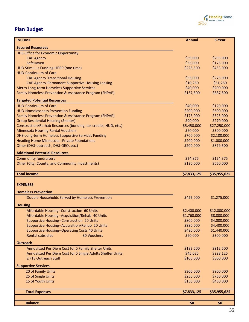

# **Plan Budget**

|                                                                 |             | 5-Year       |
|-----------------------------------------------------------------|-------------|--------------|
| <b>Secured Resources</b>                                        |             |              |
| <b>DHS-Office for Economic Opportunity</b>                      |             |              |
| <b>CAP Agency</b>                                               | \$59,000    | \$295,000    |
| SafeHaven                                                       | \$35,000    | \$175,000    |
| HUD Stimulus Funding-HPRP (one time)                            | \$226,500   | \$453,000    |
| <b>HUD-Continuum of Care</b>                                    |             |              |
| <b>CAP Agency-Transitional Housing</b>                          | \$55,000    | \$275,000    |
| CAP Agency-Permanent Supportive Housing Leasing                 | \$10,250    | \$51,250     |
| Metro Long-term Homeless Supportive Services                    | \$40,000    | \$200,000    |
| Family Homeless Prevention & Assistance Program (FHPAP)         | \$137,500   | \$687,500    |
| <b>Targeted Potential Resources</b>                             |             |              |
| <b>HUD-Continuum of Care</b>                                    | \$40,000    | \$120,000    |
| <b>HUD-Homelessness Prevention Funding</b>                      | \$200,000   | \$600,000    |
| Family Homeless Prevention & Assistance Program (FHPAP)         | \$175,000   | \$525,000    |
| <b>Group Residential Housing (Shelter)</b>                      | \$90,000    | \$270,000    |
| Construction/Re-hab Resources (bonding, tax credits, HUD, etc.) | \$5,450,000 | \$27,250,000 |
| <b>Minnesota Housing Rental Vouchers</b>                        | \$60,000    | \$300,000    |
| DHS-Long-term Homeless Supportive Services Funding              | \$700,000   | \$2,100,000  |
| <b>Heading Home Minnesota--Private Foundations</b>              | \$200,000   | \$1,000,000  |
| Other (DHS-outreach, DHS-OEO, etc.)                             | \$200,000   | \$879,500    |
| <b>Additional Potential Resources</b>                           |             |              |
| <b>Community fundraisers</b>                                    | \$24,875    | \$124,375    |
| Other (City, County, and Community Investments)                 | \$130,000   | \$650,000    |
| <b>Total income</b>                                             | \$7,833,125 | \$35,955,625 |
|                                                                 |             |              |
| <b>EXPENSES</b>                                                 |             |              |
| <b>Homeless Prevention</b>                                      |             |              |
| Double Households Served by Homeless Prevention                 | \$425,000   | \$1,275,000  |
| <b>Housing</b>                                                  |             |              |
| Affordable Housing--Construction 60 Units                       | \$2,400,000 | \$12,000,000 |
| Affordable Housing--Acquisition/Rehab 40 Units                  | \$1,760,000 | \$8,800,000  |
| Supportive Housing--Construction 20 Units                       | \$800,000   | \$4,000,000  |
| Supportive Housing--Acquisition/Rehab 20 Units                  | \$880,000   | \$4,400,000  |
| <b>Supportive Housing--Operating Costs 40 Units</b>             | \$480,000   | \$1,440,000  |
| <b>Rental subsidies</b><br>80 Vouchers                          | \$60,000    | \$300,000    |
| <b>Outreach</b>                                                 |             |              |
| Annualized Per Diem Cost for 5 Family Shelter Units             | \$182,500   | \$912,500    |
| Annualized Per Diem Cost for 5 Single Adults Shelter Units      | \$45,625    | \$228,125    |
| 2 FTE Outreach Staff                                            | \$100,000   | \$500,000    |
|                                                                 |             |              |
| <b>Supportive Services</b>                                      |             |              |
| 20 of Family Units                                              | \$300,000   | \$900,000    |
| 25 of Single Units<br>15 of Youth Units                         | \$250,000   | \$750,000    |
|                                                                 | \$150,000   | \$450,000    |
| <b>Total Expenses</b>                                           | \$7,833,125 | \$35,955,625 |
|                                                                 |             |              |
| <b>Balance</b>                                                  | \$0         | \$0          |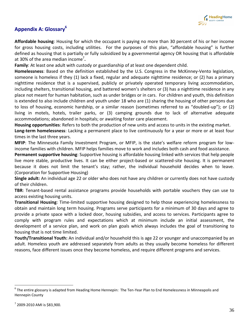

# **Appendix A: Glossary<sup>6</sup>**

**Affordable housing**: Housing for which the occupant is paying no more than 30 percent of his or her income for gross housing costs, including utilities. For the purposes of this plan, "affordable housing" is further defined as housing that is partially or fully subsidized by a governmental agency OR housing that is affordable at 30% of the area median income<sup>7</sup>.

**Family**: At least one adult with custody or guardianship of at least one dependent child.

**Homelessness**: Based on the definition established by the U.S. Congress in the McKinney-Vento legislation, someone is homeless if they (1) lack a fixed, regular and adequate nighttime residence; or (2) has a primary nighttime residence that is a supervised, publicly or privately operated temporary living accommodation, including shelters, transitional housing, and battered women's shelters or (3) has a nighttime residence in any place not meant for human habitation, such as under bridges or in cars. For children and youth, this definition is extended to also include children and youth under 18 who are (1) sharing the housing of other persons due to loss of housing, economic hardship, or a similar reason (sometimes referred to as "doubled-up"); or (2) living in motels, hotels, trailer parks, or (3) camping grounds due to lack of alternative adequate accommodations; abandoned in hospitals; or awaiting foster care placement.

**Housing opportunities**: Refers to both the production of new units and access to units in the existing market. **Long-term homelessness**: Lacking a permanent place to live continuously for a year or more or at least four times in the last three years.

**MFIP**: The Minnesota Family Investment Program, or MFIP, is the state's welfare reform program for lowincome families with children. MFIP helps families move to work and includes both cash and food assistance.

**Permanent supportive housing**: Supportive housing is affordable housing linked with services that help people live more stable, productive lives. It can be either project-based or scattered-site housing. It is permanent because it does not limit the tenant's stay; rather, the individual household decides when to leave. (Corporation for Supportive Housing)

**Single adult:** An individual age 22 or older who does not have any children or currently does not have custody of their children.

**TBR**: Tenant-based rental assistance programs provide households with portable vouchers they can use to access existing housing units.

**Transitional Housing**: Time-limited supportive housing designed to help those experiencing homelessness to obtain and maintain long term housing. Programs serve participants for a minimum of 30 days and agree to provide a private space with a locked door, housing subsidies, and access to services. Participants agree to comply with program rules and expectations which at minimum include an initial assessment, the development of a service plan, and work on plan goals which always includes the goal of transitioning to housing that is not time limited.

**Youth/Transitional Youth:** An individual and/or household this is age 22 or younger and unaccompanied by an adult. Homeless youth are addressed separately from adults as they usually become homeless for different reasons, face different issues once they become homeless, and require different programs and services.

<sup>&</sup>lt;sup>6</sup> The entire glossary is adapted from Heading Home Hennepin: The Ten-Year Plan to End Homelessness in Minneapolis and Hennepin County

<sup>7</sup> 2009-2010 AMI is \$83,900.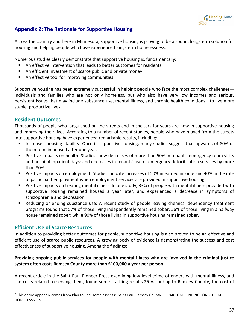

# **Appendix 2: The Rationale for Supportive Housing<sup>8</sup>**

Across the country and here in Minnesota, supportive housing is proving to be a sound, long-term solution for housing and helping people who have experienced long-term homelessness.

Numerous studies clearly demonstrate that supportive housing is, fundamentally:

- An effective intervention that leads to better outcomes for residents
- An efficient investment of scarce public and private money
- An effective tool for improving communities

Supportive housing has been extremely successful in helping people who face the most complex challenges individuals and families who are not only homeless, but who also have very low incomes and serious, persistent issues that may include substance use, mental illness, and chronic health conditions—to live more stable, productive lives.

# **Resident Outcomes**

Thousands of people who languished on the streets and in shelters for years are now in supportive housing and improving their lives. According to a number of recent studies, people who have moved from the streets into supportive housing have experienced remarkable results, including:

- **Increased housing stability: Once in supportive housing, many studies suggest that upwards of 80% of S** them remain housed after one year.
- **P** Positive impacts on health: Studies show decreases of more than 50% in tenants' emergency room visits and hospital inpatient days; and decreases in tenants' use of emergency detoxification services by more than 80%.
- Positive impacts on employment: Studies indicate increases of 50% in earned income and 40% in the rate of participant employment when employment services are provided in supportive housing.
- **Positive impacts on treating mental illness: In one study, 83% of people with mental illness provided with** supportive housing remained housed a year later, and experienced a decrease in symptoms of schizophrenia and depression.
- Reducing or ending substance use: A recent study of people leaving chemical dependency treatment programs found that 57% of those living independently remained sober; 56% of those living in a halfway house remained sober; while 90% of those living in supportive housing remained sober.

# **Efficient Use of Scarce Resources**

 $\overline{a}$ 

In addition to providing better outcomes for people, supportive housing is also proven to be an effective and efficient use of scarce public resources. A growing body of evidence is demonstrating the success and cost effectiveness of supportive housing. Among the findings:

### **Providing ongoing public services for people with mental illness who are involved in the criminal justice system often costs Ramsey County more than \$100,000 a year per person.**

A recent article in the Saint Paul Pioneer Press examining low-level crime offenders with mental illness, and the costs related to serving them, found some startling results.26 According to Ramsey County, the cost of

<sup>&</sup>lt;sup>8</sup> This entire appendix comes from Plan to End Homelessness: Saint Paul-Ramsey County PART ONE: ENDING LONG-TERM HOMELESSNESS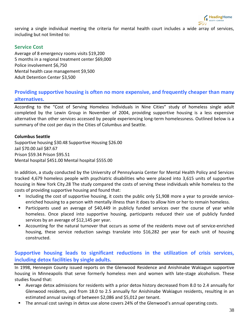

serving a single individual meeting the criteria for mental health court includes a wide array of services, including but not limited to:

# **Service Cost**

Average of 8 emergency rooms visits \$19,200 5 months in a regional treatment center \$69,000 Police involvement \$6,750 Mental health case management \$9,500 Adult Detention Center \$3,500

# **Providing supportive housing is often no more expensive, and frequently cheaper than many alternatives.**

According to the "Cost of Serving Homeless Individuals in Nine Cities" study of homeless single adult completed by the Lewin Group in November of 2004, providing supportive housing is a less expensive alternative than other services accessed by people experiencing long-term homelessness. Outlined below is a summary of the cost per day in the Cities of Columbus and Seattle.

### **Columbus Seattle**

Supportive housing \$30.48 Supportive Housing \$26.00 Jail \$70.00 Jail \$87.67 Prison \$59.34 Prison \$95.51 Mental hospital \$451.00 Mental hospital \$555.00

In addition, a study conducted by the University of Pennsylvania Center for Mental Health Policy and Services tracked 4,679 homeless people with psychiatric disabilities who were placed into 3,615 units of supportive housing in New York City.28 The study compared the costs of serving these individuals while homeless to the costs of providing supportive housing and found that:

- Including the cost of supportive housing, it costs the public only \$1,908 more a year to provide serviceenriched housing to a person with mentally illness than it does to allow him or her to remain homeless.
- Participants used an average of \$40,449 in publicly funded services over the course of year while homeless. Once placed into supportive housing, participants reduced their use of publicly funded services by an average of \$12,145 per year.
- Accounting for the natural turnover that occurs as some of the residents move out of service-enriched housing, these service reduction savings translate into \$16,282 per year for each unit of housing constructed.

# **Supportive housing leads to significant reductions in the utilization of crisis services, including detox facilities by single adults.**

In 1998, Hennepin County issued reports on the Glenwood Residence and Anishinabe Wakiagun supportive housing in Minneapolis that serve formerly homeless men and women with late-stage alcoholism. These studies found that:

- Average detox admissions for residents with a prior detox history decreased from 8.0 to 2.4 annually for Glenwood residents, and from 18.0 to 2.5 annually for Anishinabe Wakiagun residents, resulting in an estimated annual savings of between \$2,086 and \$5,012 per tenant.
- The annual cost savings in detox use alone covers 24% of the Glenwood's annual operating costs.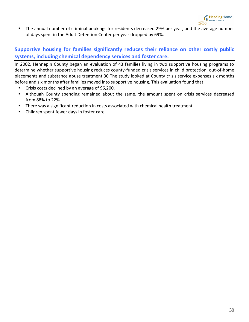

The annual number of criminal bookings for residents decreased 29% per year, and the average number of days spent in the Adult Detention Center per year dropped by 69%.

# **Supportive housing for families significantly reduces their reliance on other costly public systems, including chemical dependency services and foster care.**

In 2002, Hennepin County began an evaluation of 43 families living in two supportive housing programs to determine whether supportive housing reduces county-funded crisis services in child protection, out-of-home placements and substance abuse treatment.30 The study looked at County crisis service expenses six months before and six months after families moved into supportive housing. This evaluation found that:

- Crisis costs declined by an average of \$6,200.
- Although County spending remained about the same, the amount spent on crisis services decreased from 88% to 22%.
- There was a significant reduction in costs associated with chemical health treatment.
- Children spent fewer days in foster care.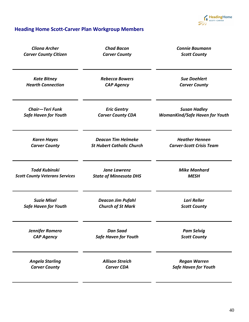

# **Heading Home Scott-Carver Plan Workgroup Members**

| <b>Cliona Archer</b>                  | <b>Chad Bacon</b>                | <b>Connie Baumann</b>                 |
|---------------------------------------|----------------------------------|---------------------------------------|
| <b>Carver County Citizen</b>          | <b>Carver County</b>             | <b>Scott County</b>                   |
| <b>Kate Bitney</b>                    | <b>Rebecca Bowers</b>            | <b>Sue Doehlert</b>                   |
| <b>Hearth Connection</b>              | <b>CAP Agency</b>                | <b>Carver County</b>                  |
| <b>Chair-Teri Funk</b>                | <b>Eric Gentry</b>               | <b>Susan Hadley</b>                   |
| <b>Safe Haven for Youth</b>           | <b>Carver County CDA</b>         | <b>WomanKind/Safe Haven for Youth</b> |
| <b>Karen Hayes</b>                    | <b>Deacon Tim Helmeke</b>        | <b>Heather Hennen</b>                 |
| <b>Carver County</b>                  | <b>St Hubert Catholic Church</b> | <b>Carver-Scott Crisis Team</b>       |
| <b>Todd Kubinski</b>                  | <b>Jane Lawrenz</b>              | <b>Mike Manhard</b>                   |
| <b>Scott County Veterans Services</b> | <b>State of Minnesota DHS</b>    | <b>MESH</b>                           |
| <b>Suzie Misel</b>                    | <b>Deacon Jim Pufahl</b>         | <b>Lori Reller</b>                    |
| <b>Safe Haven for Youth</b>           | <b>Church of St Mark</b>         | <b>Scott County</b>                   |
| Jennifer Romero                       | <b>Dan Saad</b>                  | <b>Pam Selvig</b>                     |
| <b>CAP Agency</b>                     | <b>Safe Haven for Youth</b>      | <b>Scott County</b>                   |
| <b>Angela Starling</b>                | <b>Allison Streich</b>           | <b>Regan Warren</b>                   |
| <b>Carver County</b>                  | <b>Carver CDA</b>                | <b>Safe Haven for Youth</b>           |